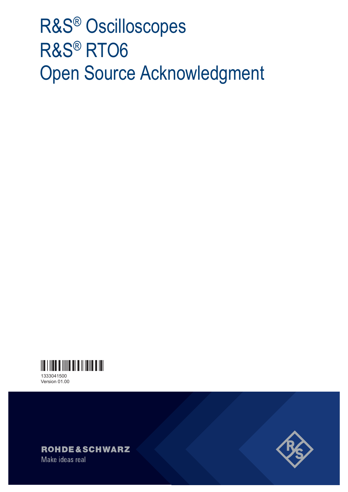# R&S® Oscilloscopes R&S<sup>®</sup> RTO6 Open Source Acknowledgment



Version 01.00



Make ideas real

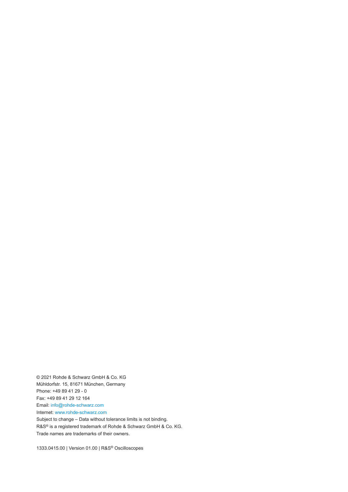© 2021 Rohde & Schwarz GmbH & Co. KG Mühldorfstr. 15, 81671 München, Germany Phone: +49 89 41 29 - 0 Fax: +49 89 41 29 12 164 Email: [info@rohde-schwarz.com](mailto:info@rohde-schwarz.com) Internet: [www.rohde-schwarz.com](http://www.rohde-schwarz.com) Subject to change – Data without tolerance limits is not binding. R&S® is a registered trademark of Rohde & Schwarz GmbH & Co. KG.

Trade names are trademarks of their owners.

1333.0415.00 | Version 01.00 | R&S® Oscilloscopes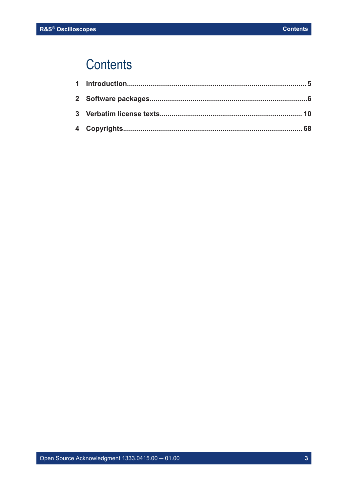## **Contents**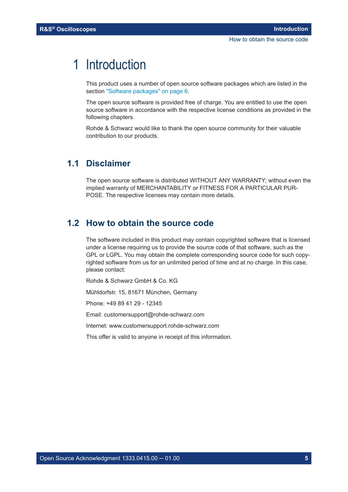## <span id="page-4-0"></span>1 Introduction

This product uses a number of open source software packages which are listed in the section ["Software packages" on page 6](#page-5-0).

The open source software is provided free of charge. You are entitled to use the open source software in accordance with the respective license conditions as provided in the following chapters.

Rohde & Schwarz would like to thank the open source community for their valuable contribution to our products.

## **1.1 Disclaimer**

The open source software is distributed WITHOUT ANY WARRANTY; without even the implied warranty of MERCHANTABILITY or FITNESS FOR A PARTICULAR PUR-POSE. The respective licenses may contain more details.

## **1.2 How to obtain the source code**

The software included in this product may contain copyrighted software that is licensed under a license requiring us to provide the source code of that software, such as the GPL or LGPL. You may obtain the complete corresponding source code for such copyrighted software from us for an unlimited period of time and at no charge. In this case, please contact:

Rohde & Schwarz GmbH & Co. KG

Mühldorfstr. 15, 81671 München, Germany

Phone: +49 89 41 29 - 12345

Email: customersupport@rohde-schwarz.com

Internet: www.customersupport.rohde-schwarz.com

This offer is valid to anyone in receipt of this information.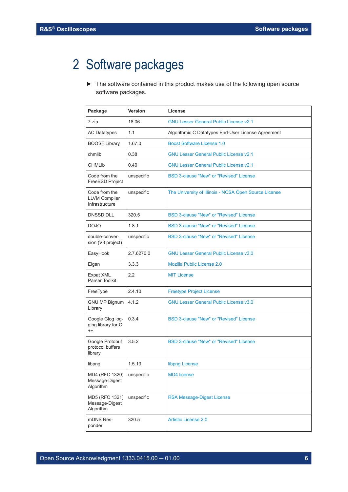## <span id="page-5-0"></span>2 Software packages

► The software contained in this product makes use of the following open source software packages.

| Package                                                 | <b>Version</b> | License                                               |
|---------------------------------------------------------|----------------|-------------------------------------------------------|
| 7-zip                                                   | 18.06          | <b>GNU Lesser General Public License v2.1</b>         |
| <b>AC Datatypes</b>                                     | 1.1            | Algorithmic C Datatypes End-User License Agreement    |
| <b>BOOST Library</b>                                    | 1.67.0         | Boost Software License 1.0                            |
| chmlib                                                  | 0.38           | <b>GNU Lesser General Public License v2.1</b>         |
| <b>CHMLib</b>                                           | 0.40           | GNU Lesser General Public License v2 1                |
| Code from the<br>FreeBSD Project                        | unspecific     | <b>BSD 3-clause "New" or "Revised" License</b>        |
| Code from the<br><b>LLVM Compiler</b><br>Infrastructure | unspecific     | The University of Illinois - NCSA Open Source License |
| DNSSD.DLL                                               | 320.5          | <b>BSD 3-clause "New" or "Revised" License</b>        |
| <b>DOJO</b>                                             | 1.8.1          | BSD 3-clause "New" or "Revised" License               |
| double-conver-<br>sion (V8 project)                     | unspecific     | <b>BSD 3-clause "New" or "Revised" License</b>        |
| EasyHook                                                | 2.7.6270.0     | <b>GNU Lesser General Public License v3.0</b>         |
| Eigen                                                   | 3.3.3          | <b>Mozilla Public License 2.0</b>                     |
| Expat XML<br>Parser Toolkit                             | 2.2            | <b>MIT License</b>                                    |
| FreeType                                                | 2.4.10         | <b>Freetype Project License</b>                       |
| GNU MP Bignum<br>Library                                | 4.1.2          | <b>GNU Lesser General Public License v3.0</b>         |
| Google Glog log-<br>ging library for C<br>$^{++}$       | 0.3.4          | <b>BSD 3-clause "New" or "Revised" License</b>        |
| Google Protobuf<br>protocol buffers<br>library          | 3.5.2          | <b>BSD 3-clause "New" or "Revised" License</b>        |
| libpng                                                  | 1.5.13         | libpng License                                        |
| MD4 (RFC 1320)<br>Message-Digest<br>Algorithm           | unspecific     | <b>MD4</b> license                                    |
| MD5 (RFC 1321)<br>Message-Digest<br>Algorithm           | unspecific     | <b>RSA Message-Digest License</b>                     |
| mDNS Res-<br>ponder                                     | 320.5          | <b>Artistic License 2.0</b>                           |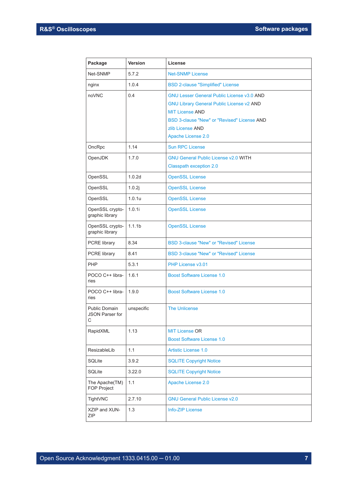| Package                                      | <b>Version</b>     | License                                                                                                                                                                                                                         |
|----------------------------------------------|--------------------|---------------------------------------------------------------------------------------------------------------------------------------------------------------------------------------------------------------------------------|
| Net-SNMP                                     | 5.7.2              | <b>Net-SNMP License</b>                                                                                                                                                                                                         |
| nginx                                        | 1.0.4              | <b>BSD 2-clause "Simplified" License</b>                                                                                                                                                                                        |
| noVNC                                        | 0.4                | <b>GNU Lesser General Public License v3.0 AND</b><br><b>GNU Library General Public License v2 AND</b><br><b>MIT License AND</b><br><b>BSD 3-clause "New" or "Revised" License AND</b><br>zlib License AND<br>Apache License 2.0 |
| OncRpc                                       | 1.14               | <b>Sun RPC License</b>                                                                                                                                                                                                          |
| OpenJDK                                      | 1.7.0              | <b>GNU General Public License v2.0 WITH</b><br><b>Classpath exception 2.0</b>                                                                                                                                                   |
| OpenSSL                                      | 1.0.2d             | <b>OpenSSL License</b>                                                                                                                                                                                                          |
| OpenSSL                                      | 1.0.2i             | <b>OpenSSL License</b>                                                                                                                                                                                                          |
| OpenSSL                                      | 1.0.1u             | <b>OpenSSL License</b>                                                                                                                                                                                                          |
| OpenSSL crypto-<br>graphic library           | 1.0.1i             | <b>OpenSSL License</b>                                                                                                                                                                                                          |
| OpenSSL crypto-<br>graphic library           | 1.1.1 <sub>b</sub> | <b>OpenSSL License</b>                                                                                                                                                                                                          |
| PCRE library                                 | 8.34               | <b>BSD 3-clause "New" or "Revised" License</b>                                                                                                                                                                                  |
| PCRE library                                 | 8.41               | <b>BSD 3-clause "New" or "Revised" License</b>                                                                                                                                                                                  |
| PHP                                          | 5.3.1              | PHP License v3.01                                                                                                                                                                                                               |
| POCO C++ libra-<br>ries                      | 1.6.1              | <b>Boost Software License 1.0</b>                                                                                                                                                                                               |
| POCO C++ libra-<br>ries                      | 1.9.0              | <b>Boost Software License 1.0</b>                                                                                                                                                                                               |
| Public Domain<br><b>JSON Parser for</b><br>С | unspecific         | <b>The Unlicense</b>                                                                                                                                                                                                            |
| RapidXML                                     | 1.13               | <b>MIT License OR</b><br><b>Boost Software License 1.0</b>                                                                                                                                                                      |
| ResizableLib                                 | 1.1                | <b>Artistic License 1.0</b>                                                                                                                                                                                                     |
| SQLite                                       | 3.9.2              | <b>SQLITE Copyright Notice</b>                                                                                                                                                                                                  |
| SQLite                                       | 3.22.0             | <b>SQLITE Copyright Notice</b>                                                                                                                                                                                                  |
| The Apache(TM)<br>FOP Project                | 1.1                | Apache License 2.0                                                                                                                                                                                                              |
| TightVNC                                     | 2.7.10             | <b>GNU General Public License v2.0</b>                                                                                                                                                                                          |
| XZIP and XUN-<br>ZIP                         | 1.3                | Info-ZIP License                                                                                                                                                                                                                |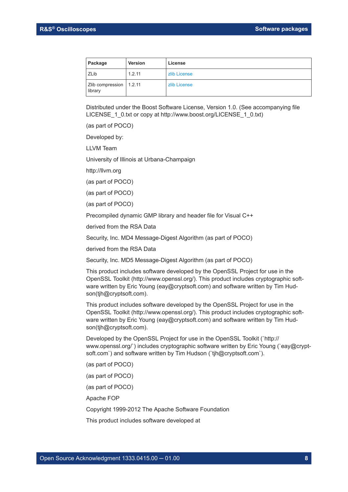| Package                              | <b>Version</b> | License      |
|--------------------------------------|----------------|--------------|
| ZLib                                 | 1.2.11         | zlib License |
| Zlib compression   1.2.11<br>library |                | zlib License |

Distributed under the Boost Software License, Version 1.0. (See accompanying file LICENSE 1 0.txt or copy at http://www.boost.org/LICENSE 1 0.txt)

(as part of POCO)

Developed by:

LLVM Team

University of Illinois at Urbana-Champaign

http://llvm.org

(as part of POCO)

(as part of POCO)

(as part of POCO)

Precompiled dynamic GMP library and header file for Visual C++

derived from the RSA Data

Security, Inc. MD4 Message-Digest Algorithm (as part of POCO)

derived from the RSA Data

Security, Inc. MD5 Message-Digest Algorithm (as part of POCO)

This product includes software developed by the OpenSSL Project for use in the OpenSSL Toolkit (http://www.openssl.org/). This product includes cryptographic software written by Eric Young (eay@cryptsoft.com) and software written by Tim Hudson(tjh@cryptsoft.com).

This product includes software developed by the OpenSSL Project for use in the OpenSSL Toolkit (http://www.openssl.org/). This product includes cryptographic software written by Eric Young (eay@cryptsoft.com) and software written by Tim Hudson(tjh@cryptsoft.com).

Developed by the OpenSSL Project for use in the OpenSSL Toolkit (`http:// www.openssl.org/`) includes cryptographic software written by Eric Young (`eay@cryptsoft.com') and software written by Tim Hudson ('tjh@cryptsoft.com').

(as part of POCO)

(as part of POCO)

(as part of POCO)

Apache FOP

Copyright 1999-2012 The Apache Software Foundation

This product includes software developed at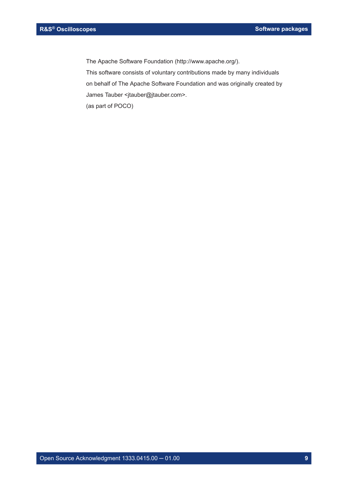The Apache Software Foundation (http://www.apache.org/).

This software consists of voluntary contributions made by many individuals on behalf of The Apache Software Foundation and was originally created by James Tauber <jtauber@jtauber.com>.

(as part of POCO)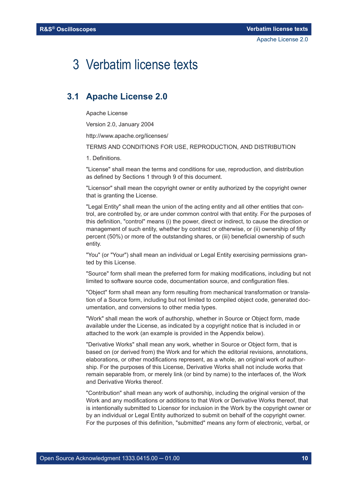## <span id="page-9-0"></span>3 Verbatim license texts

## **3.1 Apache License 2.0**

Apache License

Version 2.0, January 2004

http://www.apache.org/licenses/

TERMS AND CONDITIONS FOR USE, REPRODUCTION, AND DISTRIBUTION

1. Definitions.

"License" shall mean the terms and conditions for use, reproduction, and distribution as defined by Sections 1 through 9 of this document.

"Licensor" shall mean the copyright owner or entity authorized by the copyright owner that is granting the License.

"Legal Entity" shall mean the union of the acting entity and all other entities that control, are controlled by, or are under common control with that entity. For the purposes of this definition, "control" means (i) the power, direct or indirect, to cause the direction or management of such entity, whether by contract or otherwise, or (ii) ownership of fifty percent (50%) or more of the outstanding shares, or (iii) beneficial ownership of such entity.

"You" (or "Your") shall mean an individual or Legal Entity exercising permissions granted by this License.

"Source" form shall mean the preferred form for making modifications, including but not limited to software source code, documentation source, and configuration files.

"Object" form shall mean any form resulting from mechanical transformation or translation of a Source form, including but not limited to compiled object code, generated documentation, and conversions to other media types.

"Work" shall mean the work of authorship, whether in Source or Object form, made available under the License, as indicated by a copyright notice that is included in or attached to the work (an example is provided in the Appendix below).

"Derivative Works" shall mean any work, whether in Source or Object form, that is based on (or derived from) the Work and for which the editorial revisions, annotations, elaborations, or other modifications represent, as a whole, an original work of authorship. For the purposes of this License, Derivative Works shall not include works that remain separable from, or merely link (or bind by name) to the interfaces of, the Work and Derivative Works thereof.

"Contribution" shall mean any work of authorship, including the original version of the Work and any modifications or additions to that Work or Derivative Works thereof, that is intentionally submitted to Licensor for inclusion in the Work by the copyright owner or by an individual or Legal Entity authorized to submit on behalf of the copyright owner. For the purposes of this definition, "submitted" means any form of electronic, verbal, or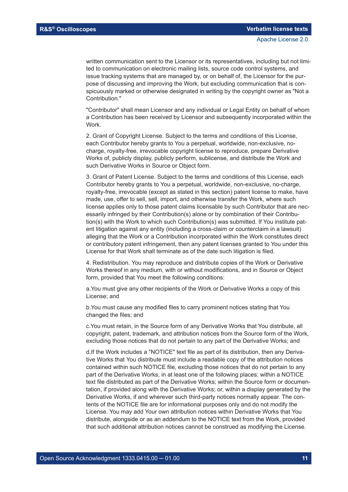written communication sent to the Licensor or its representatives, including but not limited to communication on electronic mailing lists, source code control systems, and issue tracking systems that are managed by, or on behalf of, the Licensor for the purpose of discussing and improving the Work, but excluding communication that is conspicuously marked or otherwise designated in writing by the copyright owner as "Not a Contribution."

"Contributor" shall mean Licensor and any individual or Legal Entity on behalf of whom a Contribution has been received by Licensor and subsequently incorporated within the **Work** 

2. Grant of Copyright License. Subject to the terms and conditions of this License, each Contributor hereby grants to You a perpetual, worldwide, non-exclusive, nocharge, royalty-free, irrevocable copyright license to reproduce, prepare Derivative Works of, publicly display, publicly perform, sublicense, and distribute the Work and such Derivative Works in Source or Object form.

3. Grant of Patent License. Subject to the terms and conditions of this License, each Contributor hereby grants to You a perpetual, worldwide, non-exclusive, no-charge, royalty-free, irrevocable (except as stated in this section) patent license to make, have made, use, offer to sell, sell, import, and otherwise transfer the Work, where such license applies only to those patent claims licensable by such Contributor that are necessarily infringed by their Contribution(s) alone or by combination of their Contribution(s) with the Work to which such Contribution(s) was submitted. If You institute patent litigation against any entity (including a cross-claim or counterclaim in a lawsuit) alleging that the Work or a Contribution incorporated within the Work constitutes direct or contributory patent infringement, then any patent licenses granted to You under this License for that Work shall terminate as of the date such litigation is filed.

4. Redistribution. You may reproduce and distribute copies of the Work or Derivative Works thereof in any medium, with or without modifications, and in Source or Object form, provided that You meet the following conditions:

a.You must give any other recipients of the Work or Derivative Works a copy of this License; and

b.You must cause any modified files to carry prominent notices stating that You changed the files; and

c.You must retain, in the Source form of any Derivative Works that You distribute, all copyright, patent, trademark, and attribution notices from the Source form of the Work, excluding those notices that do not pertain to any part of the Derivative Works; and

d.If the Work includes a "NOTICE" text file as part of its distribution, then any Derivative Works that You distribute must include a readable copy of the attribution notices contained within such NOTICE file, excluding those notices that do not pertain to any part of the Derivative Works, in at least one of the following places: within a NOTICE text file distributed as part of the Derivative Works; within the Source form or documentation, if provided along with the Derivative Works; or, within a display generated by the Derivative Works, if and wherever such third-party notices normally appear. The contents of the NOTICE file are for informational purposes only and do not modify the License. You may add Your own attribution notices within Derivative Works that You distribute, alongside or as an addendum to the NOTICE text from the Work, provided that such additional attribution notices cannot be construed as modifying the License.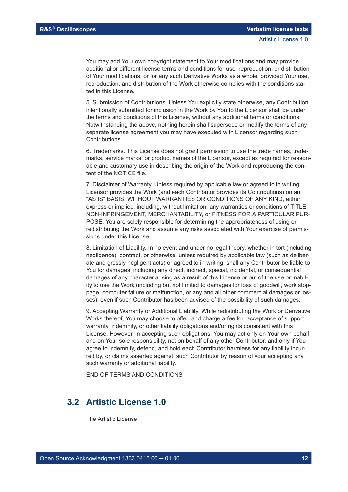<span id="page-11-0"></span>You may add Your own copyright statement to Your modifications and may provide additional or different license terms and conditions for use, reproduction, or distribution of Your modifications, or for any such Derivative Works as a whole, provided Your use, reproduction, and distribution of the Work otherwise complies with the conditions stated in this License.

5. Submission of Contributions. Unless You explicitly state otherwise, any Contribution intentionally submitted for inclusion in the Work by You to the Licensor shall be under the terms and conditions of this License, without any additional terms or conditions. Notwithstanding the above, nothing herein shall supersede or modify the terms of any separate license agreement you may have executed with Licensor regarding such Contributions.

6. Trademarks. This License does not grant permission to use the trade names, trademarks, service marks, or product names of the Licensor, except as required for reasonable and customary use in describing the origin of the Work and reproducing the content of the NOTICE file.

7. Disclaimer of Warranty. Unless required by applicable law or agreed to in writing, Licensor provides the Work (and each Contributor provides its Contributions) on an "AS IS" BASIS, WITHOUT WARRANTIES OR CONDITIONS OF ANY KIND, either express or implied, including, without limitation, any warranties or conditions of TITLE, NON-INFRINGEMENT, MERCHANTABILITY, or FITNESS FOR A PARTICULAR PUR-POSE. You are solely responsible for determining the appropriateness of using or redistributing the Work and assume any risks associated with Your exercise of permissions under this License.

8. Limitation of Liability. In no event and under no legal theory, whether in tort (including negligence), contract, or otherwise, unless required by applicable law (such as deliberate and grossly negligent acts) or agreed to in writing, shall any Contributor be liable to You for damages, including any direct, indirect, special, incidental, or consequential damages of any character arising as a result of this License or out of the use or inability to use the Work (including but not limited to damages for loss of goodwill, work stoppage, computer failure or malfunction, or any and all other commercial damages or losses), even if such Contributor has been advised of the possibility of such damages.

9. Accepting Warranty or Additional Liability. While redistributing the Work or Derivative Works thereof, You may choose to offer, and charge a fee for, acceptance of support, warranty, indemnity, or other liability obligations and/or rights consistent with this License. However, in accepting such obligations, You may act only on Your own behalf and on Your sole responsibility, not on behalf of any other Contributor, and only if You agree to indemnify, defend, and hold each Contributor harmless for any liability incurred by, or claims asserted against, such Contributor by reason of your accepting any such warranty or additional liability.

END OF TERMS AND CONDITIONS

## **3.2 Artistic License 1.0**

The Artistic License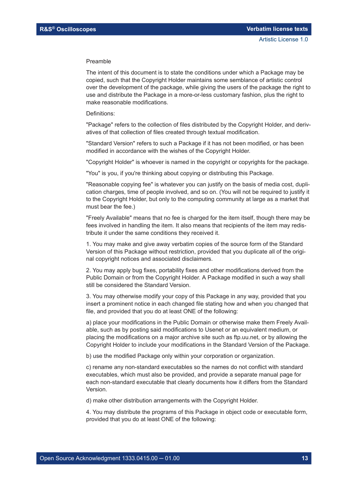#### Preamble

The intent of this document is to state the conditions under which a Package may be copied, such that the Copyright Holder maintains some semblance of artistic control over the development of the package, while giving the users of the package the right to use and distribute the Package in a more-or-less customary fashion, plus the right to make reasonable modifications.

#### Definitions:

"Package" refers to the collection of files distributed by the Copyright Holder, and derivatives of that collection of files created through textual modification.

"Standard Version" refers to such a Package if it has not been modified, or has been modified in accordance with the wishes of the Copyright Holder.

"Copyright Holder" is whoever is named in the copyright or copyrights for the package.

"You" is you, if you're thinking about copying or distributing this Package.

"Reasonable copying fee" is whatever you can justify on the basis of media cost, duplication charges, time of people involved, and so on. (You will not be required to justify it to the Copyright Holder, but only to the computing community at large as a market that must bear the fee.)

"Freely Available" means that no fee is charged for the item itself, though there may be fees involved in handling the item. It also means that recipients of the item may redistribute it under the same conditions they received it.

1. You may make and give away verbatim copies of the source form of the Standard Version of this Package without restriction, provided that you duplicate all of the original copyright notices and associated disclaimers.

2. You may apply bug fixes, portability fixes and other modifications derived from the Public Domain or from the Copyright Holder. A Package modified in such a way shall still be considered the Standard Version.

3. You may otherwise modify your copy of this Package in any way, provided that you insert a prominent notice in each changed file stating how and when you changed that file, and provided that you do at least ONE of the following:

a) place your modifications in the Public Domain or otherwise make them Freely Available, such as by posting said modifications to Usenet or an equivalent medium, or placing the modifications on a major archive site such as ftp.uu.net, or by allowing the Copyright Holder to include your modifications in the Standard Version of the Package.

b) use the modified Package only within your corporation or organization.

c) rename any non-standard executables so the names do not conflict with standard executables, which must also be provided, and provide a separate manual page for each non-standard executable that clearly documents how it differs from the Standard Version.

d) make other distribution arrangements with the Copyright Holder.

4. You may distribute the programs of this Package in object code or executable form, provided that you do at least ONE of the following: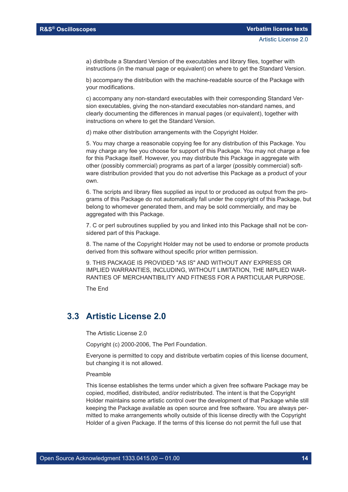<span id="page-13-0"></span>a) distribute a Standard Version of the executables and library files, together with instructions (in the manual page or equivalent) on where to get the Standard Version.

b) accompany the distribution with the machine-readable source of the Package with your modifications.

c) accompany any non-standard executables with their corresponding Standard Version executables, giving the non-standard executables non-standard names, and clearly documenting the differences in manual pages (or equivalent), together with instructions on where to get the Standard Version.

d) make other distribution arrangements with the Copyright Holder.

5. You may charge a reasonable copying fee for any distribution of this Package. You may charge any fee you choose for support of this Package. You may not charge a fee for this Package itself. However, you may distribute this Package in aggregate with other (possibly commercial) programs as part of a larger (possibly commercial) software distribution provided that you do not advertise this Package as a product of your own.

6. The scripts and library files supplied as input to or produced as output from the programs of this Package do not automatically fall under the copyright of this Package, but belong to whomever generated them, and may be sold commercially, and may be aggregated with this Package.

7. C or perl subroutines supplied by you and linked into this Package shall not be considered part of this Package.

8. The name of the Copyright Holder may not be used to endorse or promote products derived from this software without specific prior written permission.

9. THIS PACKAGE IS PROVIDED "AS IS" AND WITHOUT ANY EXPRESS OR IMPLIED WARRANTIES, INCLUDING, WITHOUT LIMITATION, THE IMPLIED WAR-RANTIES OF MERCHANTIBILITY AND FITNESS FOR A PARTICULAR PURPOSE.

The End

## **3.3 Artistic License 2.0**

The Artistic License 2.0

Copyright (c) 2000-2006, The Perl Foundation.

Everyone is permitted to copy and distribute verbatim copies of this license document, but changing it is not allowed.

Preamble

This license establishes the terms under which a given free software Package may be copied, modified, distributed, and/or redistributed. The intent is that the Copyright Holder maintains some artistic control over the development of that Package while still keeping the Package available as open source and free software. You are always permitted to make arrangements wholly outside of this license directly with the Copyright Holder of a given Package. If the terms of this license do not permit the full use that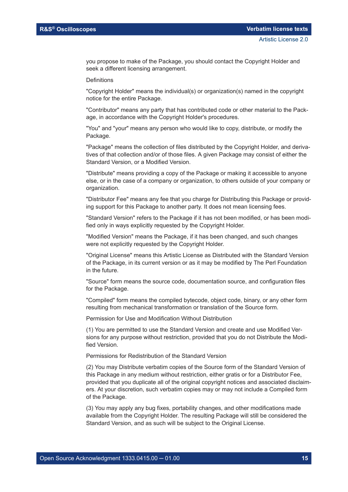you propose to make of the Package, you should contact the Copyright Holder and seek a different licensing arrangement.

Definitions

"Copyright Holder" means the individual(s) or organization(s) named in the copyright notice for the entire Package.

"Contributor" means any party that has contributed code or other material to the Package, in accordance with the Copyright Holder's procedures.

"You" and "your" means any person who would like to copy, distribute, or modify the Package.

"Package" means the collection of files distributed by the Copyright Holder, and derivatives of that collection and/or of those files. A given Package may consist of either the Standard Version, or a Modified Version.

"Distribute" means providing a copy of the Package or making it accessible to anyone else, or in the case of a company or organization, to others outside of your company or organization.

"Distributor Fee" means any fee that you charge for Distributing this Package or providing support for this Package to another party. It does not mean licensing fees.

"Standard Version" refers to the Package if it has not been modified, or has been modified only in ways explicitly requested by the Copyright Holder.

"Modified Version" means the Package, if it has been changed, and such changes were not explicitly requested by the Copyright Holder.

"Original License" means this Artistic License as Distributed with the Standard Version of the Package, in its current version or as it may be modified by The Perl Foundation in the future.

"Source" form means the source code, documentation source, and configuration files for the Package.

"Compiled" form means the compiled bytecode, object code, binary, or any other form resulting from mechanical transformation or translation of the Source form.

Permission for Use and Modification Without Distribution

(1) You are permitted to use the Standard Version and create and use Modified Versions for any purpose without restriction, provided that you do not Distribute the Modified Version.

Permissions for Redistribution of the Standard Version

(2) You may Distribute verbatim copies of the Source form of the Standard Version of this Package in any medium without restriction, either gratis or for a Distributor Fee, provided that you duplicate all of the original copyright notices and associated disclaimers. At your discretion, such verbatim copies may or may not include a Compiled form of the Package.

(3) You may apply any bug fixes, portability changes, and other modifications made available from the Copyright Holder. The resulting Package will still be considered the Standard Version, and as such will be subject to the Original License.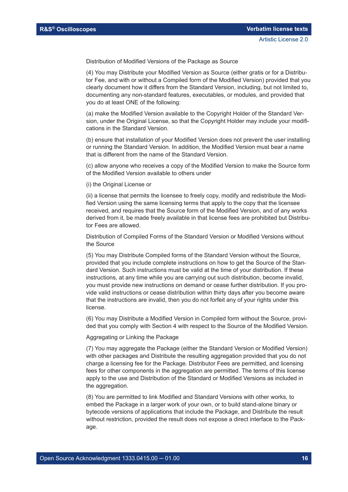Distribution of Modified Versions of the Package as Source

(4) You may Distribute your Modified Version as Source (either gratis or for a Distributor Fee, and with or without a Compiled form of the Modified Version) provided that you clearly document how it differs from the Standard Version, including, but not limited to, documenting any non-standard features, executables, or modules, and provided that you do at least ONE of the following:

(a) make the Modified Version available to the Copyright Holder of the Standard Version, under the Original License, so that the Copyright Holder may include your modifications in the Standard Version.

(b) ensure that installation of your Modified Version does not prevent the user installing or running the Standard Version. In addition, the Modified Version must bear a name that is different from the name of the Standard Version.

(c) allow anyone who receives a copy of the Modified Version to make the Source form of the Modified Version available to others under

#### (i) the Original License or

(ii) a license that permits the licensee to freely copy, modify and redistribute the Modified Version using the same licensing terms that apply to the copy that the licensee received, and requires that the Source form of the Modified Version, and of any works derived from it, be made freely available in that license fees are prohibited but Distributor Fees are allowed.

Distribution of Compiled Forms of the Standard Version or Modified Versions without the Source

(5) You may Distribute Compiled forms of the Standard Version without the Source, provided that you include complete instructions on how to get the Source of the Standard Version. Such instructions must be valid at the time of your distribution. If these instructions, at any time while you are carrying out such distribution, become invalid, you must provide new instructions on demand or cease further distribution. If you provide valid instructions or cease distribution within thirty days after you become aware that the instructions are invalid, then you do not forfeit any of your rights under this license.

(6) You may Distribute a Modified Version in Compiled form without the Source, provided that you comply with Section 4 with respect to the Source of the Modified Version.

Aggregating or Linking the Package

(7) You may aggregate the Package (either the Standard Version or Modified Version) with other packages and Distribute the resulting aggregation provided that you do not charge a licensing fee for the Package. Distributor Fees are permitted, and licensing fees for other components in the aggregation are permitted. The terms of this license apply to the use and Distribution of the Standard or Modified Versions as included in the aggregation.

(8) You are permitted to link Modified and Standard Versions with other works, to embed the Package in a larger work of your own, or to build stand-alone binary or bytecode versions of applications that include the Package, and Distribute the result without restriction, provided the result does not expose a direct interface to the Package.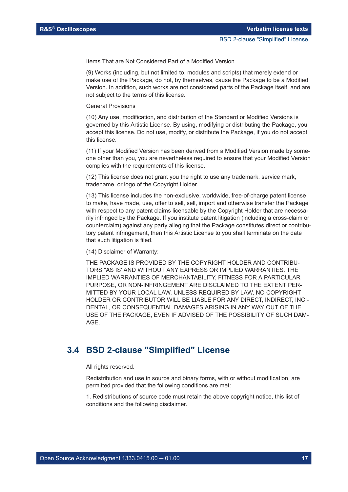<span id="page-16-0"></span>Items That are Not Considered Part of a Modified Version

(9) Works (including, but not limited to, modules and scripts) that merely extend or make use of the Package, do not, by themselves, cause the Package to be a Modified Version. In addition, such works are not considered parts of the Package itself, and are not subject to the terms of this license.

General Provisions

(10) Any use, modification, and distribution of the Standard or Modified Versions is governed by this Artistic License. By using, modifying or distributing the Package, you accept this license. Do not use, modify, or distribute the Package, if you do not accept this license.

(11) If your Modified Version has been derived from a Modified Version made by someone other than you, you are nevertheless required to ensure that your Modified Version complies with the requirements of this license.

(12) This license does not grant you the right to use any trademark, service mark, tradename, or logo of the Copyright Holder.

(13) This license includes the non-exclusive, worldwide, free-of-charge patent license to make, have made, use, offer to sell, sell, import and otherwise transfer the Package with respect to any patent claims licensable by the Copyright Holder that are necessarily infringed by the Package. If you institute patent litigation (including a cross-claim or counterclaim) against any party alleging that the Package constitutes direct or contributory patent infringement, then this Artistic License to you shall terminate on the date that such litigation is filed.

(14) Disclaimer of Warranty:

THE PACKAGE IS PROVIDED BY THE COPYRIGHT HOLDER AND CONTRIBU-TORS "AS IS' AND WITHOUT ANY EXPRESS OR IMPLIED WARRANTIES. THE IMPLIED WARRANTIES OF MERCHANTABILITY, FITNESS FOR A PARTICULAR PURPOSE, OR NON-INFRINGEMENT ARE DISCLAIMED TO THE EXTENT PER-MITTED BY YOUR LOCAL LAW. UNLESS REQUIRED BY LAW, NO COPYRIGHT HOLDER OR CONTRIBUTOR WILL BE LIABLE FOR ANY DIRECT, INDIRECT, INCI-DENTAL, OR CONSEQUENTIAL DAMAGES ARISING IN ANY WAY OUT OF THE USE OF THE PACKAGE, EVEN IF ADVISED OF THE POSSIBILITY OF SUCH DAM-AGE.

## **3.4 BSD 2-clause "Simplified" License**

All rights reserved.

Redistribution and use in source and binary forms, with or without modification, are permitted provided that the following conditions are met:

1. Redistributions of source code must retain the above copyright notice, this list of conditions and the following disclaimer.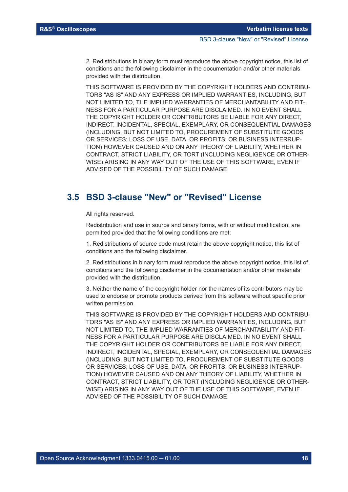<span id="page-17-0"></span>2. Redistributions in binary form must reproduce the above copyright notice, this list of conditions and the following disclaimer in the documentation and/or other materials provided with the distribution.

THIS SOFTWARE IS PROVIDED BY THE COPYRIGHT HOLDERS AND CONTRIBU-TORS "AS IS" AND ANY EXPRESS OR IMPLIED WARRANTIES, INCLUDING, BUT NOT LIMITED TO, THE IMPLIED WARRANTIES OF MERCHANTABILITY AND FIT-NESS FOR A PARTICULAR PURPOSE ARE DISCLAIMED. IN NO EVENT SHALL THE COPYRIGHT HOLDER OR CONTRIBUTORS BE LIABLE FOR ANY DIRECT, INDIRECT, INCIDENTAL, SPECIAL, EXEMPLARY, OR CONSEQUENTIAL DAMAGES (INCLUDING, BUT NOT LIMITED TO, PROCUREMENT OF SUBSTITUTE GOODS OR SERVICES; LOSS OF USE, DATA, OR PROFITS; OR BUSINESS INTERRUP-TION) HOWEVER CAUSED AND ON ANY THEORY OF LIABILITY, WHETHER IN CONTRACT, STRICT LIABILITY, OR TORT (INCLUDING NEGLIGENCE OR OTHER-WISE) ARISING IN ANY WAY OUT OF THE USE OF THIS SOFTWARE, EVEN IF ADVISED OF THE POSSIBILITY OF SUCH DAMAGE.

## **3.5 BSD 3-clause "New" or "Revised" License**

All rights reserved.

Redistribution and use in source and binary forms, with or without modification, are permitted provided that the following conditions are met:

1. Redistributions of source code must retain the above copyright notice, this list of conditions and the following disclaimer.

2. Redistributions in binary form must reproduce the above copyright notice, this list of conditions and the following disclaimer in the documentation and/or other materials provided with the distribution.

3. Neither the name of the copyright holder nor the names of its contributors may be used to endorse or promote products derived from this software without specific prior written permission.

THIS SOFTWARE IS PROVIDED BY THE COPYRIGHT HOLDERS AND CONTRIBU-TORS "AS IS" AND ANY EXPRESS OR IMPLIED WARRANTIES, INCLUDING, BUT NOT LIMITED TO, THE IMPLIED WARRANTIES OF MERCHANTABILITY AND FIT-NESS FOR A PARTICULAR PURPOSE ARE DISCLAIMED. IN NO EVENT SHALL THE COPYRIGHT HOLDER OR CONTRIBUTORS BE LIABLE FOR ANY DIRECT, INDIRECT, INCIDENTAL, SPECIAL, EXEMPLARY, OR CONSEQUENTIAL DAMAGES (INCLUDING, BUT NOT LIMITED TO, PROCUREMENT OF SUBSTITUTE GOODS OR SERVICES; LOSS OF USE, DATA, OR PROFITS; OR BUSINESS INTERRUP-TION) HOWEVER CAUSED AND ON ANY THEORY OF LIABILITY, WHETHER IN CONTRACT, STRICT LIABILITY, OR TORT (INCLUDING NEGLIGENCE OR OTHER-WISE) ARISING IN ANY WAY OUT OF THE USE OF THIS SOFTWARE, EVEN IF ADVISED OF THE POSSIBILITY OF SUCH DAMAGE.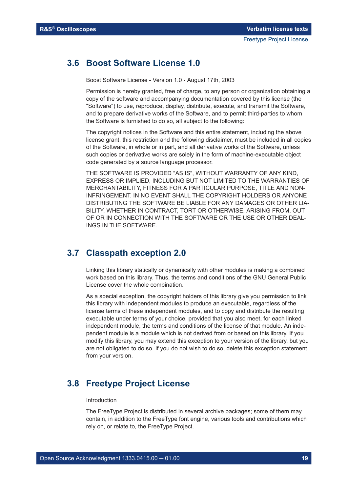## <span id="page-18-0"></span>**3.6 Boost Software License 1.0**

Boost Software License - Version 1.0 - August 17th, 2003

Permission is hereby granted, free of charge, to any person or organization obtaining a copy of the software and accompanying documentation covered by this license (the "Software") to use, reproduce, display, distribute, execute, and transmit the Software, and to prepare derivative works of the Software, and to permit third-parties to whom the Software is furnished to do so, all subject to the following:

The copyright notices in the Software and this entire statement, including the above license grant, this restriction and the following disclaimer, must be included in all copies of the Software, in whole or in part, and all derivative works of the Software, unless such copies or derivative works are solely in the form of machine-executable object code generated by a source language processor.

THE SOFTWARE IS PROVIDED "AS IS", WITHOUT WARRANTY OF ANY KIND, EXPRESS OR IMPLIED, INCLUDING BUT NOT LIMITED TO THE WARRANTIES OF MERCHANTABILITY, FITNESS FOR A PARTICULAR PURPOSE, TITLE AND NON-INFRINGEMENT. IN NO EVENT SHALL THE COPYRIGHT HOLDERS OR ANYONE DISTRIBUTING THE SOFTWARE BE LIABLE FOR ANY DAMAGES OR OTHER LIA-BILITY, WHETHER IN CONTRACT, TORT OR OTHERWISE, ARISING FROM, OUT OF OR IN CONNECTION WITH THE SOFTWARE OR THE USE OR OTHER DEAL-INGS IN THE SOFTWARE.

## **3.7 Classpath exception 2.0**

Linking this library statically or dynamically with other modules is making a combined work based on this library. Thus, the terms and conditions of the GNU General Public License cover the whole combination.

As a special exception, the copyright holders of this library give you permission to link this library with independent modules to produce an executable, regardless of the license terms of these independent modules, and to copy and distribute the resulting executable under terms of your choice, provided that you also meet, for each linked independent module, the terms and conditions of the license of that module. An independent module is a module which is not derived from or based on this library. If you modify this library, you may extend this exception to your version of the library, but you are not obligated to do so. If you do not wish to do so, delete this exception statement from your version.

## **3.8 Freetype Project License**

### Introduction

The FreeType Project is distributed in several archive packages; some of them may contain, in addition to the FreeType font engine, various tools and contributions which rely on, or relate to, the FreeType Project.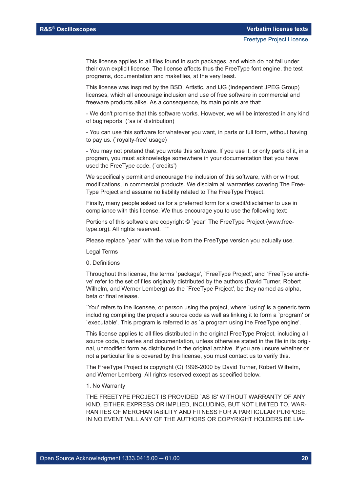This license applies to all files found in such packages, and which do not fall under their own explicit license. The license affects thus the FreeType font engine, the test programs, documentation and makefiles, at the very least.

This license was inspired by the BSD, Artistic, and IJG (Independent JPEG Group) licenses, which all encourage inclusion and use of free software in commercial and freeware products alike. As a consequence, its main points are that:

- We don't promise that this software works. However, we will be interested in any kind of bug reports. (`as is' distribution)

- You can use this software for whatever you want, in parts or full form, without having to pay us. (`royalty-free' usage)

- You may not pretend that you wrote this software. If you use it, or only parts of it, in a program, you must acknowledge somewhere in your documentation that you have used the FreeType code. (`credits')

We specifically permit and encourage the inclusion of this software, with or without modifications, in commercial products. We disclaim all warranties covering The Free-Type Project and assume no liability related to The FreeType Project.

Finally, many people asked us for a preferred form for a credit/disclaimer to use in compliance with this license. We thus encourage you to use the following text:

Portions of this software are copyright © ´year´ The FreeType Project (www.freetype.org). All rights reserved. """

Please replace ´year´ with the value from the FreeType version you actually use.

Legal Terms

0. Definitions

Throughout this license, the terms `package', `FreeType Project', and `FreeType archive' refer to the set of files originally distributed by the authors (David Turner, Robert Wilhelm, and Werner Lemberg) as the `FreeType Project', be they named as alpha, beta or final release.

`You' refers to the licensee, or person using the project, where `using' is a generic term including compiling the project's source code as well as linking it to form a `program' or `executable'. This program is referred to as `a program using the FreeType engine'.

This license applies to all files distributed in the original FreeType Project, including all source code, binaries and documentation, unless otherwise stated in the file in its original, unmodified form as distributed in the original archive. If you are unsure whether or not a particular file is covered by this license, you must contact us to verify this.

The FreeType Project is copyright (C) 1996-2000 by David Turner, Robert Wilhelm, and Werner Lemberg. All rights reserved except as specified below.

#### 1. No Warranty

THE FREETYPE PROJECT IS PROVIDED `AS IS' WITHOUT WARRANTY OF ANY KIND, EITHER EXPRESS OR IMPLIED, INCLUDING, BUT NOT LIMITED TO, WAR-RANTIES OF MERCHANTABILITY AND FITNESS FOR A PARTICULAR PURPOSE. IN NO EVENT WILL ANY OF THE AUTHORS OR COPYRIGHT HOLDERS BE LIA-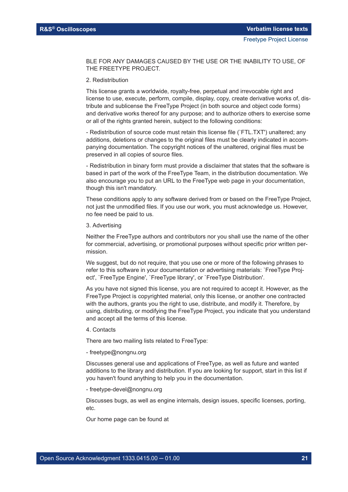BLE FOR ANY DAMAGES CAUSED BY THE USE OR THE INABILITY TO USE, OF THE FREETYPE PROJECT.

#### 2. Redistribution

This license grants a worldwide, royalty-free, perpetual and irrevocable right and license to use, execute, perform, compile, display, copy, create derivative works of, distribute and sublicense the FreeType Project (in both source and object code forms) and derivative works thereof for any purpose; and to authorize others to exercise some or all of the rights granted herein, subject to the following conditions:

- Redistribution of source code must retain this license file (`FTL.TXT') unaltered; any additions, deletions or changes to the original files must be clearly indicated in accompanying documentation. The copyright notices of the unaltered, original files must be preserved in all copies of source files.

- Redistribution in binary form must provide a disclaimer that states that the software is based in part of the work of the FreeType Team, in the distribution documentation. We also encourage you to put an URL to the FreeType web page in your documentation, though this isn't mandatory.

These conditions apply to any software derived from or based on the FreeType Project, not just the unmodified files. If you use our work, you must acknowledge us. However, no fee need be paid to us.

#### 3. Advertising

Neither the FreeType authors and contributors nor you shall use the name of the other for commercial, advertising, or promotional purposes without specific prior written permission.

We suggest, but do not require, that you use one or more of the following phrases to refer to this software in your documentation or advertising materials: `FreeType Project', `FreeType Engine', `FreeType library', or `FreeType Distribution'.

As you have not signed this license, you are not required to accept it. However, as the FreeType Project is copyrighted material, only this license, or another one contracted with the authors, grants you the right to use, distribute, and modify it. Therefore, by using, distributing, or modifying the FreeType Project, you indicate that you understand and accept all the terms of this license.

#### 4. Contacts

There are two mailing lists related to FreeType:

- freetype@nongnu.org

Discusses general use and applications of FreeType, as well as future and wanted additions to the library and distribution. If you are looking for support, start in this list if you haven't found anything to help you in the documentation.

#### - freetype-devel@nongnu.org

Discusses bugs, as well as engine internals, design issues, specific licenses, porting, etc.

Our home page can be found at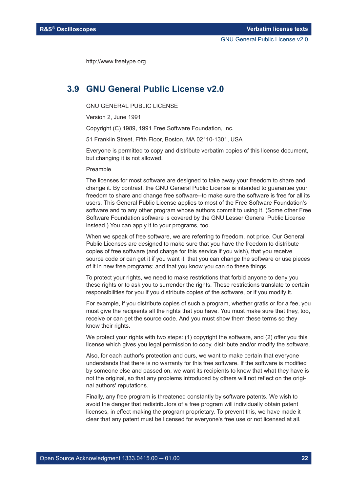<span id="page-21-0"></span>http://www.freetype.org

## **3.9 GNU General Public License v2.0**

GNU GENERAL PUBLIC LICENSE

Version 2, June 1991

Copyright (C) 1989, 1991 Free Software Foundation, Inc.

51 Franklin Street, Fifth Floor, Boston, MA 02110-1301, USA

Everyone is permitted to copy and distribute verbatim copies of this license document, but changing it is not allowed.

Preamble

The licenses for most software are designed to take away your freedom to share and change it. By contrast, the GNU General Public License is intended to guarantee your freedom to share and change free software--to make sure the software is free for all its users. This General Public License applies to most of the Free Software Foundation's software and to any other program whose authors commit to using it. (Some other Free Software Foundation software is covered by the GNU Lesser General Public License instead.) You can apply it to your programs, too.

When we speak of free software, we are referring to freedom, not price. Our General Public Licenses are designed to make sure that you have the freedom to distribute copies of free software (and charge for this service if you wish), that you receive source code or can get it if you want it, that you can change the software or use pieces of it in new free programs; and that you know you can do these things.

To protect your rights, we need to make restrictions that forbid anyone to deny you these rights or to ask you to surrender the rights. These restrictions translate to certain responsibilities for you if you distribute copies of the software, or if you modify it.

For example, if you distribute copies of such a program, whether gratis or for a fee, you must give the recipients all the rights that you have. You must make sure that they, too, receive or can get the source code. And you must show them these terms so they know their rights.

We protect your rights with two steps: (1) copyright the software, and (2) offer you this license which gives you legal permission to copy, distribute and/or modify the software.

Also, for each author's protection and ours, we want to make certain that everyone understands that there is no warranty for this free software. If the software is modified by someone else and passed on, we want its recipients to know that what they have is not the original, so that any problems introduced by others will not reflect on the original authors' reputations.

Finally, any free program is threatened constantly by software patents. We wish to avoid the danger that redistributors of a free program will individually obtain patent licenses, in effect making the program proprietary. To prevent this, we have made it clear that any patent must be licensed for everyone's free use or not licensed at all.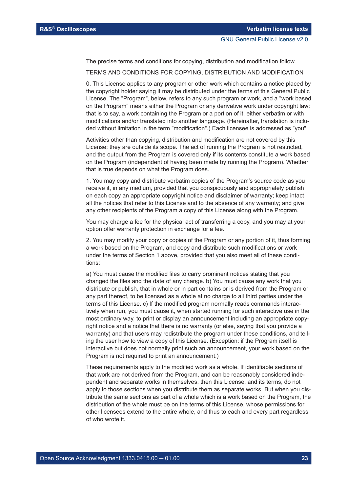The precise terms and conditions for copying, distribution and modification follow. TERMS AND CONDITIONS FOR COPYING, DISTRIBUTION AND MODIFICATION

0. This License applies to any program or other work which contains a notice placed by the copyright holder saying it may be distributed under the terms of this General Public License. The "Program", below, refers to any such program or work, and a "work based on the Program" means either the Program or any derivative work under copyright law: that is to say, a work containing the Program or a portion of it, either verbatim or with modifications and/or translated into another language. (Hereinafter, translation is included without limitation in the term "modification".) Each licensee is addressed as "you".

Activities other than copying, distribution and modification are not covered by this License; they are outside its scope. The act of running the Program is not restricted, and the output from the Program is covered only if its contents constitute a work based on the Program (independent of having been made by running the Program). Whether that is true depends on what the Program does.

1. You may copy and distribute verbatim copies of the Program's source code as you receive it, in any medium, provided that you conspicuously and appropriately publish on each copy an appropriate copyright notice and disclaimer of warranty; keep intact all the notices that refer to this License and to the absence of any warranty; and give any other recipients of the Program a copy of this License along with the Program.

You may charge a fee for the physical act of transferring a copy, and you may at your option offer warranty protection in exchange for a fee.

2. You may modify your copy or copies of the Program or any portion of it, thus forming a work based on the Program, and copy and distribute such modifications or work under the terms of Section 1 above, provided that you also meet all of these conditions:

a) You must cause the modified files to carry prominent notices stating that you changed the files and the date of any change. b) You must cause any work that you distribute or publish, that in whole or in part contains or is derived from the Program or any part thereof, to be licensed as a whole at no charge to all third parties under the terms of this License. c) If the modified program normally reads commands interactively when run, you must cause it, when started running for such interactive use in the most ordinary way, to print or display an announcement including an appropriate copyright notice and a notice that there is no warranty (or else, saying that you provide a warranty) and that users may redistribute the program under these conditions, and telling the user how to view a copy of this License. (Exception: if the Program itself is interactive but does not normally print such an announcement, your work based on the Program is not required to print an announcement.)

These requirements apply to the modified work as a whole. If identifiable sections of that work are not derived from the Program, and can be reasonably considered independent and separate works in themselves, then this License, and its terms, do not apply to those sections when you distribute them as separate works. But when you distribute the same sections as part of a whole which is a work based on the Program, the distribution of the whole must be on the terms of this License, whose permissions for other licensees extend to the entire whole, and thus to each and every part regardless of who wrote it.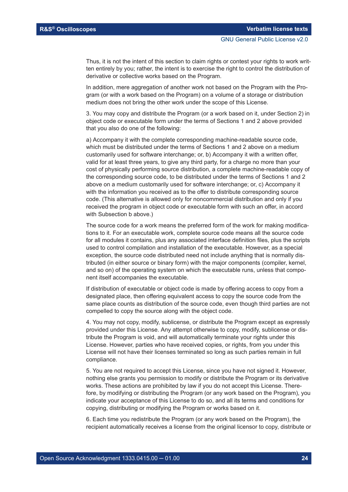Thus, it is not the intent of this section to claim rights or contest your rights to work written entirely by you; rather, the intent is to exercise the right to control the distribution of derivative or collective works based on the Program.

In addition, mere aggregation of another work not based on the Program with the Program (or with a work based on the Program) on a volume of a storage or distribution medium does not bring the other work under the scope of this License.

3. You may copy and distribute the Program (or a work based on it, under Section 2) in object code or executable form under the terms of Sections 1 and 2 above provided that you also do one of the following:

a) Accompany it with the complete corresponding machine-readable source code, which must be distributed under the terms of Sections 1 and 2 above on a medium customarily used for software interchange; or, b) Accompany it with a written offer, valid for at least three years, to give any third party, for a charge no more than your cost of physically performing source distribution, a complete machine-readable copy of the corresponding source code, to be distributed under the terms of Sections 1 and 2 above on a medium customarily used for software interchange; or, c) Accompany it with the information you received as to the offer to distribute corresponding source code. (This alternative is allowed only for noncommercial distribution and only if you received the program in object code or executable form with such an offer, in accord with Subsection b above.)

The source code for a work means the preferred form of the work for making modifications to it. For an executable work, complete source code means all the source code for all modules it contains, plus any associated interface definition files, plus the scripts used to control compilation and installation of the executable. However, as a special exception, the source code distributed need not include anything that is normally distributed (in either source or binary form) with the major components (compiler, kernel, and so on) of the operating system on which the executable runs, unless that component itself accompanies the executable.

If distribution of executable or object code is made by offering access to copy from a designated place, then offering equivalent access to copy the source code from the same place counts as distribution of the source code, even though third parties are not compelled to copy the source along with the object code.

4. You may not copy, modify, sublicense, or distribute the Program except as expressly provided under this License. Any attempt otherwise to copy, modify, sublicense or distribute the Program is void, and will automatically terminate your rights under this License. However, parties who have received copies, or rights, from you under this License will not have their licenses terminated so long as such parties remain in full compliance.

5. You are not required to accept this License, since you have not signed it. However, nothing else grants you permission to modify or distribute the Program or its derivative works. These actions are prohibited by law if you do not accept this License. Therefore, by modifying or distributing the Program (or any work based on the Program), you indicate your acceptance of this License to do so, and all its terms and conditions for copying, distributing or modifying the Program or works based on it.

6. Each time you redistribute the Program (or any work based on the Program), the recipient automatically receives a license from the original licensor to copy, distribute or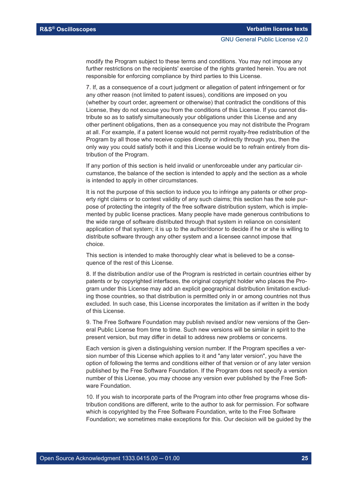modify the Program subject to these terms and conditions. You may not impose any further restrictions on the recipients' exercise of the rights granted herein. You are not responsible for enforcing compliance by third parties to this License.

7. If, as a consequence of a court judgment or allegation of patent infringement or for any other reason (not limited to patent issues), conditions are imposed on you (whether by court order, agreement or otherwise) that contradict the conditions of this License, they do not excuse you from the conditions of this License. If you cannot distribute so as to satisfy simultaneously your obligations under this License and any other pertinent obligations, then as a consequence you may not distribute the Program at all. For example, if a patent license would not permit royalty-free redistribution of the Program by all those who receive copies directly or indirectly through you, then the only way you could satisfy both it and this License would be to refrain entirely from distribution of the Program.

If any portion of this section is held invalid or unenforceable under any particular circumstance, the balance of the section is intended to apply and the section as a whole is intended to apply in other circumstances.

It is not the purpose of this section to induce you to infringe any patents or other property right claims or to contest validity of any such claims; this section has the sole purpose of protecting the integrity of the free software distribution system, which is implemented by public license practices. Many people have made generous contributions to the wide range of software distributed through that system in reliance on consistent application of that system; it is up to the author/donor to decide if he or she is willing to distribute software through any other system and a licensee cannot impose that choice.

This section is intended to make thoroughly clear what is believed to be a consequence of the rest of this License.

8. If the distribution and/or use of the Program is restricted in certain countries either by patents or by copyrighted interfaces, the original copyright holder who places the Program under this License may add an explicit geographical distribution limitation excluding those countries, so that distribution is permitted only in or among countries not thus excluded. In such case, this License incorporates the limitation as if written in the body of this License.

9. The Free Software Foundation may publish revised and/or new versions of the General Public License from time to time. Such new versions will be similar in spirit to the present version, but may differ in detail to address new problems or concerns.

Each version is given a distinguishing version number. If the Program specifies a version number of this License which applies to it and "any later version", you have the option of following the terms and conditions either of that version or of any later version published by the Free Software Foundation. If the Program does not specify a version number of this License, you may choose any version ever published by the Free Software Foundation.

10. If you wish to incorporate parts of the Program into other free programs whose distribution conditions are different, write to the author to ask for permission. For software which is copyrighted by the Free Software Foundation, write to the Free Software Foundation; we sometimes make exceptions for this. Our decision will be guided by the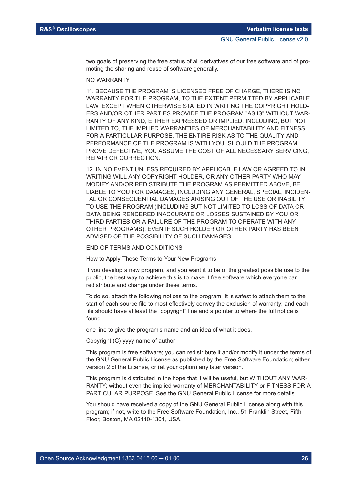two goals of preserving the free status of all derivatives of our free software and of promoting the sharing and reuse of software generally.

#### NO WARRANTY

11. BECAUSE THE PROGRAM IS LICENSED FREE OF CHARGE, THERE IS NO WARRANTY FOR THE PROGRAM, TO THE EXTENT PERMITTED BY APPLICABLE LAW. EXCEPT WHEN OTHERWISE STATED IN WRITING THE COPYRIGHT HOLD-ERS AND/OR OTHER PARTIES PROVIDE THE PROGRAM "AS IS" WITHOUT WAR-RANTY OF ANY KIND, EITHER EXPRESSED OR IMPLIED, INCLUDING, BUT NOT LIMITED TO, THE IMPLIED WARRANTIES OF MERCHANTABILITY AND FITNESS FOR A PARTICULAR PURPOSE. THE ENTIRE RISK AS TO THE QUALITY AND PERFORMANCE OF THE PROGRAM IS WITH YOU. SHOULD THE PROGRAM PROVE DEFECTIVE, YOU ASSUME THE COST OF ALL NECESSARY SERVICING, REPAIR OR CORRECTION.

12. IN NO EVENT UNLESS REQUIRED BY APPLICABLE LAW OR AGREED TO IN WRITING WILL ANY COPYRIGHT HOLDER, OR ANY OTHER PARTY WHO MAY MODIFY AND/OR REDISTRIBUTE THE PROGRAM AS PERMITTED ABOVE, BE LIABLE TO YOU FOR DAMAGES, INCLUDING ANY GENERAL, SPECIAL, INCIDEN-TAL OR CONSEQUENTIAL DAMAGES ARISING OUT OF THE USE OR INABILITY TO USE THE PROGRAM (INCLUDING BUT NOT LIMITED TO LOSS OF DATA OR DATA BEING RENDERED INACCURATE OR LOSSES SUSTAINED BY YOU OR THIRD PARTIES OR A FAILURE OF THE PROGRAM TO OPERATE WITH ANY OTHER PROGRAMS), EVEN IF SUCH HOLDER OR OTHER PARTY HAS BEEN ADVISED OF THE POSSIBILITY OF SUCH DAMAGES.

#### END OF TERMS AND CONDITIONS

How to Apply These Terms to Your New Programs

If you develop a new program, and you want it to be of the greatest possible use to the public, the best way to achieve this is to make it free software which everyone can redistribute and change under these terms.

To do so, attach the following notices to the program. It is safest to attach them to the start of each source file to most effectively convey the exclusion of warranty; and each file should have at least the "copyright" line and a pointer to where the full notice is found.

one line to give the program's name and an idea of what it does.

Copyright (C) yyyy name of author

This program is free software; you can redistribute it and/or modify it under the terms of the GNU General Public License as published by the Free Software Foundation; either version 2 of the License, or (at your option) any later version.

This program is distributed in the hope that it will be useful, but WITHOUT ANY WAR-RANTY; without even the implied warranty of MERCHANTABILITY or FITNESS FOR A PARTICULAR PURPOSE. See the GNU General Public License for more details.

You should have received a copy of the GNU General Public License along with this program; if not, write to the Free Software Foundation, Inc., 51 Franklin Street, Fifth Floor, Boston, MA 02110-1301, USA.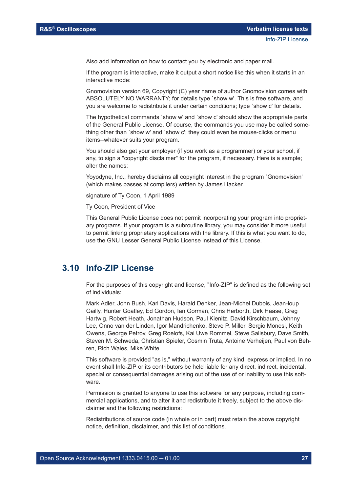<span id="page-26-0"></span>Also add information on how to contact you by electronic and paper mail.

If the program is interactive, make it output a short notice like this when it starts in an interactive mode:

Gnomovision version 69, Copyright (C) year name of author Gnomovision comes with ABSOLUTELY NO WARRANTY; for details type `show w'. This is free software, and you are welcome to redistribute it under certain conditions; type `show c' for details.

The hypothetical commands `show w' and `show c' should show the appropriate parts of the General Public License. Of course, the commands you use may be called something other than `show w' and `show c'; they could even be mouse-clicks or menu items--whatever suits your program.

You should also get your employer (if you work as a programmer) or your school, if any, to sign a "copyright disclaimer" for the program, if necessary. Here is a sample; alter the names:

Yoyodyne, Inc., hereby disclaims all copyright interest in the program `Gnomovision' (which makes passes at compilers) written by James Hacker.

signature of Ty Coon, 1 April 1989

Ty Coon, President of Vice

This General Public License does not permit incorporating your program into proprietary programs. If your program is a subroutine library, you may consider it more useful to permit linking proprietary applications with the library. If this is what you want to do, use the GNU Lesser General Public License instead of this License.

## **3.10 Info-ZIP License**

For the purposes of this copyright and license, "Info-ZIP" is defined as the following set of individuals:

Mark Adler, John Bush, Karl Davis, Harald Denker, Jean-Michel Dubois, Jean-loup Gailly, Hunter Goatley, Ed Gordon, Ian Gorman, Chris Herborth, Dirk Haase, Greg Hartwig, Robert Heath, Jonathan Hudson, Paul Kienitz, David Kirschbaum, Johnny Lee, Onno van der Linden, Igor Mandrichenko, Steve P. Miller, Sergio Monesi, Keith Owens, George Petrov, Greg Roelofs, Kai Uwe Rommel, Steve Salisbury, Dave Smith, Steven M. Schweda, Christian Spieler, Cosmin Truta, Antoine Verheijen, Paul von Behren, Rich Wales, Mike White.

This software is provided "as is," without warranty of any kind, express or implied. In no event shall Info-ZIP or its contributors be held liable for any direct, indirect, incidental, special or consequential damages arising out of the use of or inability to use this software.

Permission is granted to anyone to use this software for any purpose, including commercial applications, and to alter it and redistribute it freely, subject to the above disclaimer and the following restrictions:

Redistributions of source code (in whole or in part) must retain the above copyright notice, definition, disclaimer, and this list of conditions.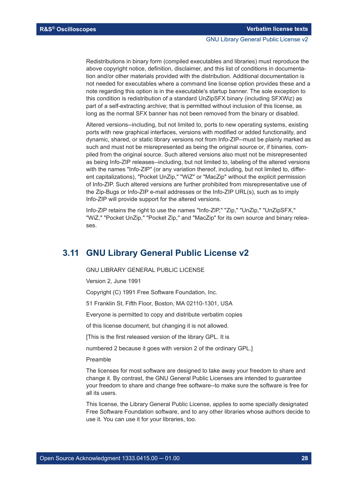<span id="page-27-0"></span>Redistributions in binary form (compiled executables and libraries) must reproduce the above copyright notice, definition, disclaimer, and this list of conditions in documentation and/or other materials provided with the distribution. Additional documentation is not needed for executables where a command line license option provides these and a note regarding this option is in the executable's startup banner. The sole exception to this condition is redistribution of a standard UnZipSFX binary (including SFXWiz) as part of a self-extracting archive; that is permitted without inclusion of this license, as long as the normal SFX banner has not been removed from the binary or disabled.

Altered versions--including, but not limited to, ports to new operating systems, existing ports with new graphical interfaces, versions with modified or added functionality, and dynamic, shared, or static library versions not from Info-ZIP--must be plainly marked as such and must not be misrepresented as being the original source or, if binaries, compiled from the original source. Such altered versions also must not be misrepresented as being Info-ZIP releases--including, but not limited to, labeling of the altered versions with the names "Info-ZIP" (or any variation thereof, including, but not limited to, different capitalizations), "Pocket UnZip," "WiZ" or "MacZip" without the explicit permission of Info-ZIP. Such altered versions are further prohibited from misrepresentative use of the Zip-Bugs or Info-ZIP e-mail addresses or the Info-ZIP URL(s), such as to imply Info-ZIP will provide support for the altered versions.

Info-ZIP retains the right to use the names "Info-ZIP," "Zip," "UnZip," "UnZipSFX," "WiZ," "Pocket UnZip," "Pocket Zip," and "MacZip" for its own source and binary releases.

## **3.11 GNU Library General Public License v2**

GNU LIBRARY GENERAL PUBLIC LICENSE

Version 2, June 1991

Copyright (C) 1991 Free Software Foundation, Inc.

51 Franklin St, Fifth Floor, Boston, MA 02110-1301, USA

Everyone is permitted to copy and distribute verbatim copies

of this license document, but changing it is not allowed.

[This is the first released version of the library GPL. It is

numbered 2 because it goes with version 2 of the ordinary GPL.]

Preamble

The licenses for most software are designed to take away your freedom to share and change it. By contrast, the GNU General Public Licenses are intended to guarantee your freedom to share and change free software--to make sure the software is free for all its users.

This license, the Library General Public License, applies to some specially designated Free Software Foundation software, and to any other libraries whose authors decide to use it. You can use it for your libraries, too.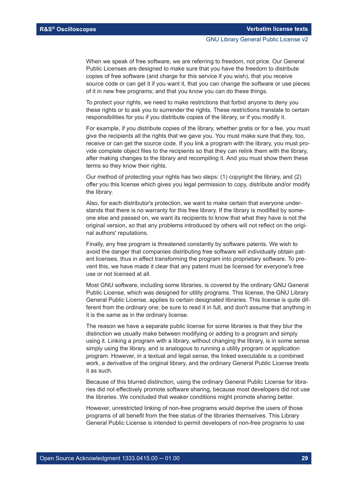When we speak of free software, we are referring to freedom, not price. Our General Public Licenses are designed to make sure that you have the freedom to distribute copies of free software (and charge for this service if you wish), that you receive source code or can get it if you want it, that you can change the software or use pieces of it in new free programs; and that you know you can do these things.

To protect your rights, we need to make restrictions that forbid anyone to deny you these rights or to ask you to surrender the rights. These restrictions translate to certain responsibilities for you if you distribute copies of the library, or if you modify it.

For example, if you distribute copies of the library, whether gratis or for a fee, you must give the recipients all the rights that we gave you. You must make sure that they, too, receive or can get the source code. If you link a program with the library, you must provide complete object files to the recipients so that they can relink them with the library, after making changes to the library and recompiling it. And you must show them these terms so they know their rights.

Our method of protecting your rights has two steps: (1) copyright the library, and (2) offer you this license which gives you legal permission to copy, distribute and/or modify the library.

Also, for each distributor's protection, we want to make certain that everyone understands that there is no warranty for this free library. If the library is modified by someone else and passed on, we want its recipients to know that what they have is not the original version, so that any problems introduced by others will not reflect on the original authors' reputations.

Finally, any free program is threatened constantly by software patents. We wish to avoid the danger that companies distributing free software will individually obtain patent licenses, thus in effect transforming the program into proprietary software. To prevent this, we have made it clear that any patent must be licensed for everyone's free use or not licensed at all.

Most GNU software, including some libraries, is covered by the ordinary GNU General Public License, which was designed for utility programs. This license, the GNU Library General Public License, applies to certain designated libraries. This license is quite different from the ordinary one; be sure to read it in full, and don't assume that anything in it is the same as in the ordinary license.

The reason we have a separate public license for some libraries is that they blur the distinction we usually make between modifying or adding to a program and simply using it. Linking a program with a library, without changing the library, is in some sense simply using the library, and is analogous to running a utility program or application program. However, in a textual and legal sense, the linked executable is a combined work, a derivative of the original library, and the ordinary General Public License treats it as such.

Because of this blurred distinction, using the ordinary General Public License for libraries did not effectively promote software sharing, because most developers did not use the libraries. We concluded that weaker conditions might promote sharing better.

However, unrestricted linking of non-free programs would deprive the users of those programs of all benefit from the free status of the libraries themselves. This Library General Public License is intended to permit developers of non-free programs to use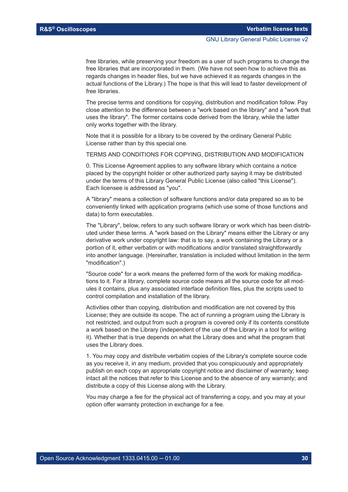free libraries, while preserving your freedom as a user of such programs to change the free libraries that are incorporated in them. (We have not seen how to achieve this as regards changes in header files, but we have achieved it as regards changes in the actual functions of the Library.) The hope is that this will lead to faster development of free libraries.

The precise terms and conditions for copying, distribution and modification follow. Pay close attention to the difference between a "work based on the library" and a "work that uses the library". The former contains code derived from the library, while the latter only works together with the library.

Note that it is possible for a library to be covered by the ordinary General Public License rather than by this special one.

TERMS AND CONDITIONS FOR COPYING, DISTRIBUTION AND MODIFICATION

0. This License Agreement applies to any software library which contains a notice placed by the copyright holder or other authorized party saying it may be distributed under the terms of this Library General Public License (also called "this License"). Each licensee is addressed as "you".

A "library" means a collection of software functions and/or data prepared so as to be conveniently linked with application programs (which use some of those functions and data) to form executables.

The "Library", below, refers to any such software library or work which has been distributed under these terms. A "work based on the Library" means either the Library or any derivative work under copyright law: that is to say, a work containing the Library or a portion of it, either verbatim or with modifications and/or translated straightforwardly into another language. (Hereinafter, translation is included without limitation in the term "modification".)

"Source code" for a work means the preferred form of the work for making modifications to it. For a library, complete source code means all the source code for all modules it contains, plus any associated interface definition files, plus the scripts used to control compilation and installation of the library.

Activities other than copying, distribution and modification are not covered by this License; they are outside its scope. The act of running a program using the Library is not restricted, and output from such a program is covered only if its contents constitute a work based on the Library (independent of the use of the Library in a tool for writing it). Whether that is true depends on what the Library does and what the program that uses the Library does.

1. You may copy and distribute verbatim copies of the Library's complete source code as you receive it, in any medium, provided that you conspicuously and appropriately publish on each copy an appropriate copyright notice and disclaimer of warranty; keep intact all the notices that refer to this License and to the absence of any warranty; and distribute a copy of this License along with the Library.

You may charge a fee for the physical act of transferring a copy, and you may at your option offer warranty protection in exchange for a fee.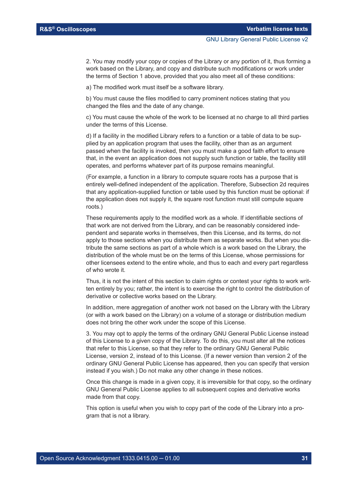2. You may modify your copy or copies of the Library or any portion of it, thus forming a work based on the Library, and copy and distribute such modifications or work under the terms of Section 1 above, provided that you also meet all of these conditions:

a) The modified work must itself be a software library.

b) You must cause the files modified to carry prominent notices stating that you changed the files and the date of any change.

c) You must cause the whole of the work to be licensed at no charge to all third parties under the terms of this License.

d) If a facility in the modified Library refers to a function or a table of data to be supplied by an application program that uses the facility, other than as an argument passed when the facility is invoked, then you must make a good faith effort to ensure that, in the event an application does not supply such function or table, the facility still operates, and performs whatever part of its purpose remains meaningful.

(For example, a function in a library to compute square roots has a purpose that is entirely well-defined independent of the application. Therefore, Subsection 2d requires that any application-supplied function or table used by this function must be optional: if the application does not supply it, the square root function must still compute square roots.)

These requirements apply to the modified work as a whole. If identifiable sections of that work are not derived from the Library, and can be reasonably considered independent and separate works in themselves, then this License, and its terms, do not apply to those sections when you distribute them as separate works. But when you distribute the same sections as part of a whole which is a work based on the Library, the distribution of the whole must be on the terms of this License, whose permissions for other licensees extend to the entire whole, and thus to each and every part regardless of who wrote it.

Thus, it is not the intent of this section to claim rights or contest your rights to work written entirely by you; rather, the intent is to exercise the right to control the distribution of derivative or collective works based on the Library.

In addition, mere aggregation of another work not based on the Library with the Library (or with a work based on the Library) on a volume of a storage or distribution medium does not bring the other work under the scope of this License.

3. You may opt to apply the terms of the ordinary GNU General Public License instead of this License to a given copy of the Library. To do this, you must alter all the notices that refer to this License, so that they refer to the ordinary GNU General Public License, version 2, instead of to this License. (If a newer version than version 2 of the ordinary GNU General Public License has appeared, then you can specify that version instead if you wish.) Do not make any other change in these notices.

Once this change is made in a given copy, it is irreversible for that copy, so the ordinary GNU General Public License applies to all subsequent copies and derivative works made from that copy.

This option is useful when you wish to copy part of the code of the Library into a program that is not a library.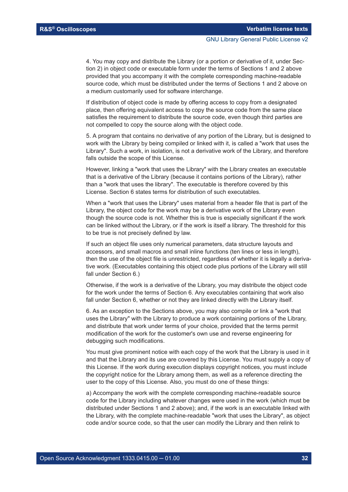4. You may copy and distribute the Library (or a portion or derivative of it, under Section 2) in object code or executable form under the terms of Sections 1 and 2 above provided that you accompany it with the complete corresponding machine-readable source code, which must be distributed under the terms of Sections 1 and 2 above on a medium customarily used for software interchange.

If distribution of object code is made by offering access to copy from a designated place, then offering equivalent access to copy the source code from the same place satisfies the requirement to distribute the source code, even though third parties are not compelled to copy the source along with the object code.

5. A program that contains no derivative of any portion of the Library, but is designed to work with the Library by being compiled or linked with it, is called a "work that uses the Library". Such a work, in isolation, is not a derivative work of the Library, and therefore falls outside the scope of this License.

However, linking a "work that uses the Library" with the Library creates an executable that is a derivative of the Library (because it contains portions of the Library), rather than a "work that uses the library". The executable is therefore covered by this License. Section 6 states terms for distribution of such executables.

When a "work that uses the Library" uses material from a header file that is part of the Library, the object code for the work may be a derivative work of the Library even though the source code is not. Whether this is true is especially significant if the work can be linked without the Library, or if the work is itself a library. The threshold for this to be true is not precisely defined by law.

If such an object file uses only numerical parameters, data structure layouts and accessors, and small macros and small inline functions (ten lines or less in length), then the use of the object file is unrestricted, regardless of whether it is legally a derivative work. (Executables containing this object code plus portions of the Library will still fall under Section 6.)

Otherwise, if the work is a derivative of the Library, you may distribute the object code for the work under the terms of Section 6. Any executables containing that work also fall under Section 6, whether or not they are linked directly with the Library itself.

6. As an exception to the Sections above, you may also compile or link a "work that uses the Library" with the Library to produce a work containing portions of the Library, and distribute that work under terms of your choice, provided that the terms permit modification of the work for the customer's own use and reverse engineering for debugging such modifications.

You must give prominent notice with each copy of the work that the Library is used in it and that the Library and its use are covered by this License. You must supply a copy of this License. If the work during execution displays copyright notices, you must include the copyright notice for the Library among them, as well as a reference directing the user to the copy of this License. Also, you must do one of these things:

a) Accompany the work with the complete corresponding machine-readable source code for the Library including whatever changes were used in the work (which must be distributed under Sections 1 and 2 above); and, if the work is an executable linked with the Library, with the complete machine-readable "work that uses the Library", as object code and/or source code, so that the user can modify the Library and then relink to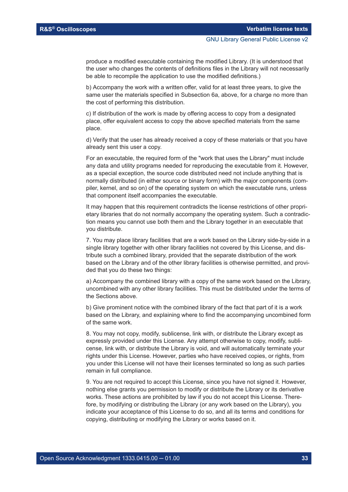produce a modified executable containing the modified Library. (It is understood that the user who changes the contents of definitions files in the Library will not necessarily be able to recompile the application to use the modified definitions.)

b) Accompany the work with a written offer, valid for at least three years, to give the same user the materials specified in Subsection 6a, above, for a charge no more than the cost of performing this distribution.

c) If distribution of the work is made by offering access to copy from a designated place, offer equivalent access to copy the above specified materials from the same place.

d) Verify that the user has already received a copy of these materials or that you have already sent this user a copy.

For an executable, the required form of the "work that uses the Library" must include any data and utility programs needed for reproducing the executable from it. However, as a special exception, the source code distributed need not include anything that is normally distributed (in either source or binary form) with the major components (compiler, kernel, and so on) of the operating system on which the executable runs, unless that component itself accompanies the executable.

It may happen that this requirement contradicts the license restrictions of other proprietary libraries that do not normally accompany the operating system. Such a contradiction means you cannot use both them and the Library together in an executable that you distribute.

7. You may place library facilities that are a work based on the Library side-by-side in a single library together with other library facilities not covered by this License, and distribute such a combined library, provided that the separate distribution of the work based on the Library and of the other library facilities is otherwise permitted, and provided that you do these two things:

a) Accompany the combined library with a copy of the same work based on the Library, uncombined with any other library facilities. This must be distributed under the terms of the Sections above.

b) Give prominent notice with the combined library of the fact that part of it is a work based on the Library, and explaining where to find the accompanying uncombined form of the same work.

8. You may not copy, modify, sublicense, link with, or distribute the Library except as expressly provided under this License. Any attempt otherwise to copy, modify, sublicense, link with, or distribute the Library is void, and will automatically terminate your rights under this License. However, parties who have received copies, or rights, from you under this License will not have their licenses terminated so long as such parties remain in full compliance.

9. You are not required to accept this License, since you have not signed it. However, nothing else grants you permission to modify or distribute the Library or its derivative works. These actions are prohibited by law if you do not accept this License. Therefore, by modifying or distributing the Library (or any work based on the Library), you indicate your acceptance of this License to do so, and all its terms and conditions for copying, distributing or modifying the Library or works based on it.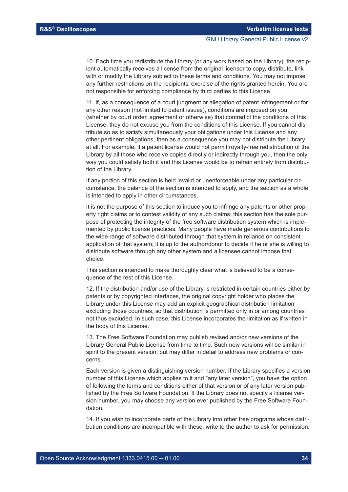10. Each time you redistribute the Library (or any work based on the Library), the recipient automatically receives a license from the original licensor to copy, distribute, link with or modify the Library subject to these terms and conditions. You may not impose any further restrictions on the recipients' exercise of the rights granted herein. You are not responsible for enforcing compliance by third parties to this License.

11. If, as a consequence of a court judgment or allegation of patent infringement or for any other reason (not limited to patent issues), conditions are imposed on you (whether by court order, agreement or otherwise) that contradict the conditions of this License, they do not excuse you from the conditions of this License. If you cannot distribute so as to satisfy simultaneously your obligations under this License and any other pertinent obligations, then as a consequence you may not distribute the Library at all. For example, if a patent license would not permit royalty-free redistribution of the Library by all those who receive copies directly or indirectly through you, then the only way you could satisfy both it and this License would be to refrain entirely from distribution of the Library.

If any portion of this section is held invalid or unenforceable under any particular circumstance, the balance of the section is intended to apply, and the section as a whole is intended to apply in other circumstances.

It is not the purpose of this section to induce you to infringe any patents or other property right claims or to contest validity of any such claims; this section has the sole purpose of protecting the integrity of the free software distribution system which is implemented by public license practices. Many people have made generous contributions to the wide range of software distributed through that system in reliance on consistent application of that system; it is up to the author/donor to decide if he or she is willing to distribute software through any other system and a licensee cannot impose that choice.

This section is intended to make thoroughly clear what is believed to be a consequence of the rest of this License.

12. If the distribution and/or use of the Library is restricted in certain countries either by patents or by copyrighted interfaces, the original copyright holder who places the Library under this License may add an explicit geographical distribution limitation excluding those countries, so that distribution is permitted only in or among countries not thus excluded. In such case, this License incorporates the limitation as if written in the body of this License.

13. The Free Software Foundation may publish revised and/or new versions of the Library General Public License from time to time. Such new versions will be similar in spirit to the present version, but may differ in detail to address new problems or concerns.

Each version is given a distinguishing version number. If the Library specifies a version number of this License which applies to it and "any later version", you have the option of following the terms and conditions either of that version or of any later version published by the Free Software Foundation. If the Library does not specify a license version number, you may choose any version ever published by the Free Software Foundation.

14. If you wish to incorporate parts of the Library into other free programs whose distribution conditions are incompatible with these, write to the author to ask for permission.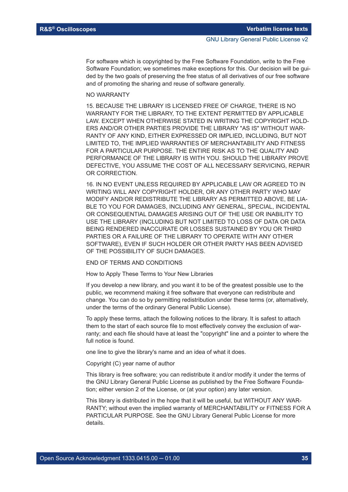For software which is copyrighted by the Free Software Foundation, write to the Free Software Foundation; we sometimes make exceptions for this. Our decision will be guided by the two goals of preserving the free status of all derivatives of our free software and of promoting the sharing and reuse of software generally.

### NO WARRANTY

15. BECAUSE THE LIBRARY IS LICENSED FREE OF CHARGE, THERE IS NO WARRANTY FOR THE LIBRARY, TO THE EXTENT PERMITTED BY APPLICABLE LAW. EXCEPT WHEN OTHERWISE STATED IN WRITING THE COPYRIGHT HOLD-ERS AND/OR OTHER PARTIES PROVIDE THE LIBRARY "AS IS" WITHOUT WAR-RANTY OF ANY KIND, EITHER EXPRESSED OR IMPLIED, INCLUDING, BUT NOT LIMITED TO, THE IMPLIED WARRANTIES OF MERCHANTABILITY AND FITNESS FOR A PARTICULAR PURPOSE. THE ENTIRE RISK AS TO THE QUALITY AND PERFORMANCE OF THE LIBRARY IS WITH YOU. SHOULD THE LIBRARY PROVE DEFECTIVE, YOU ASSUME THE COST OF ALL NECESSARY SERVICING, REPAIR OR CORRECTION.

16. IN NO EVENT UNLESS REQUIRED BY APPLICABLE LAW OR AGREED TO IN WRITING WILL ANY COPYRIGHT HOLDER, OR ANY OTHER PARTY WHO MAY MODIFY AND/OR REDISTRIBUTE THE LIBRARY AS PERMITTED ABOVE, BE LIA-BLE TO YOU FOR DAMAGES, INCLUDING ANY GENERAL, SPECIAL, INCIDENTAL OR CONSEQUENTIAL DAMAGES ARISING OUT OF THE USE OR INABILITY TO USE THE LIBRARY (INCLUDING BUT NOT LIMITED TO LOSS OF DATA OR DATA BEING RENDERED INACCURATE OR LOSSES SUSTAINED BY YOU OR THIRD PARTIES OR A FAILURE OF THE LIBRARY TO OPERATE WITH ANY OTHER SOFTWARE), EVEN IF SUCH HOLDER OR OTHER PARTY HAS BEEN ADVISED OF THE POSSIBILITY OF SUCH DAMAGES.

END OF TERMS AND CONDITIONS

How to Apply These Terms to Your New Libraries

If you develop a new library, and you want it to be of the greatest possible use to the public, we recommend making it free software that everyone can redistribute and change. You can do so by permitting redistribution under these terms (or, alternatively, under the terms of the ordinary General Public License).

To apply these terms, attach the following notices to the library. It is safest to attach them to the start of each source file to most effectively convey the exclusion of warranty; and each file should have at least the "copyright" line and a pointer to where the full notice is found.

one line to give the library's name and an idea of what it does.

Copyright (C) year name of author

This library is free software; you can redistribute it and/or modify it under the terms of the GNU Library General Public License as published by the Free Software Foundation; either version 2 of the License, or (at your option) any later version.

This library is distributed in the hope that it will be useful, but WITHOUT ANY WAR-RANTY; without even the implied warranty of MERCHANTABILITY or FITNESS FOR A PARTICULAR PURPOSE. See the GNU Library General Public License for more details.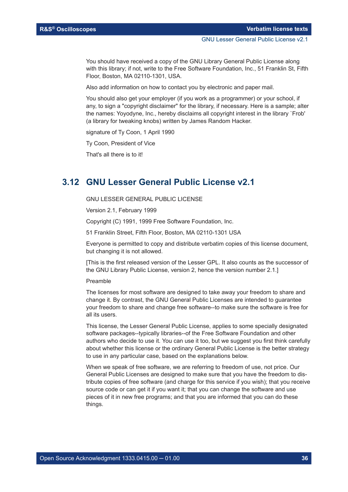<span id="page-35-0"></span>You should have received a copy of the GNU Library General Public License along with this library; if not, write to the Free Software Foundation, Inc., 51 Franklin St, Fifth Floor, Boston, MA 02110-1301, USA.

Also add information on how to contact you by electronic and paper mail.

You should also get your employer (if you work as a programmer) or your school, if any, to sign a "copyright disclaimer" for the library, if necessary. Here is a sample; alter the names: Yoyodyne, Inc., hereby disclaims all copyright interest in the library `Frob' (a library for tweaking knobs) written by James Random Hacker.

signature of Ty Coon, 1 April 1990

Ty Coon, President of Vice

That's all there is to it!

## **3.12 GNU Lesser General Public License v2.1**

GNU LESSER GENERAL PUBLIC LICENSE

Version 2.1, February 1999

Copyright (C) 1991, 1999 Free Software Foundation, Inc.

51 Franklin Street, Fifth Floor, Boston, MA 02110-1301 USA

Everyone is permitted to copy and distribute verbatim copies of this license document, but changing it is not allowed.

[This is the first released version of the Lesser GPL. It also counts as the successor of the GNU Library Public License, version 2, hence the version number 2.1.]

Preamble

The licenses for most software are designed to take away your freedom to share and change it. By contrast, the GNU General Public Licenses are intended to guarantee your freedom to share and change free software--to make sure the software is free for all its users.

This license, the Lesser General Public License, applies to some specially designated software packages--typically libraries--of the Free Software Foundation and other authors who decide to use it. You can use it too, but we suggest you first think carefully about whether this license or the ordinary General Public License is the better strategy to use in any particular case, based on the explanations below.

When we speak of free software, we are referring to freedom of use, not price. Our General Public Licenses are designed to make sure that you have the freedom to distribute copies of free software (and charge for this service if you wish); that you receive source code or can get it if you want it; that you can change the software and use pieces of it in new free programs; and that you are informed that you can do these things.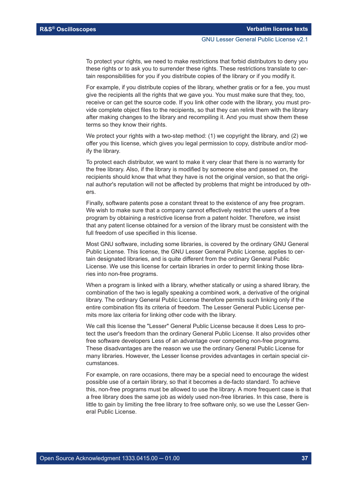To protect your rights, we need to make restrictions that forbid distributors to deny you these rights or to ask you to surrender these rights. These restrictions translate to certain responsibilities for you if you distribute copies of the library or if you modify it.

For example, if you distribute copies of the library, whether gratis or for a fee, you must give the recipients all the rights that we gave you. You must make sure that they, too, receive or can get the source code. If you link other code with the library, you must provide complete object files to the recipients, so that they can relink them with the library after making changes to the library and recompiling it. And you must show them these terms so they know their rights.

We protect your rights with a two-step method: (1) we copyright the library, and (2) we offer you this license, which gives you legal permission to copy, distribute and/or modify the library.

To protect each distributor, we want to make it very clear that there is no warranty for the free library. Also, if the library is modified by someone else and passed on, the recipients should know that what they have is not the original version, so that the original author's reputation will not be affected by problems that might be introduced by others.

Finally, software patents pose a constant threat to the existence of any free program. We wish to make sure that a company cannot effectively restrict the users of a free program by obtaining a restrictive license from a patent holder. Therefore, we insist that any patent license obtained for a version of the library must be consistent with the full freedom of use specified in this license.

Most GNU software, including some libraries, is covered by the ordinary GNU General Public License. This license, the GNU Lesser General Public License, applies to certain designated libraries, and is quite different from the ordinary General Public License. We use this license for certain libraries in order to permit linking those libraries into non-free programs.

When a program is linked with a library, whether statically or using a shared library, the combination of the two is legally speaking a combined work, a derivative of the original library. The ordinary General Public License therefore permits such linking only if the entire combination fits its criteria of freedom. The Lesser General Public License permits more lax criteria for linking other code with the library.

We call this license the "Lesser" General Public License because it does Less to protect the user's freedom than the ordinary General Public License. It also provides other free software developers Less of an advantage over competing non-free programs. These disadvantages are the reason we use the ordinary General Public License for many libraries. However, the Lesser license provides advantages in certain special circumstances.

For example, on rare occasions, there may be a special need to encourage the widest possible use of a certain library, so that it becomes a de-facto standard. To achieve this, non-free programs must be allowed to use the library. A more frequent case is that a free library does the same job as widely used non-free libraries. In this case, there is little to gain by limiting the free library to free software only, so we use the Lesser General Public License.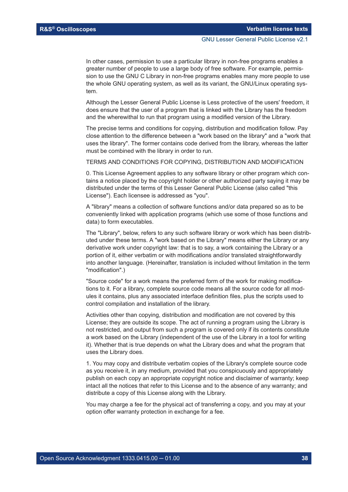In other cases, permission to use a particular library in non-free programs enables a greater number of people to use a large body of free software. For example, permission to use the GNU C Library in non-free programs enables many more people to use the whole GNU operating system, as well as its variant, the GNU/Linux operating system.

Although the Lesser General Public License is Less protective of the users' freedom, it does ensure that the user of a program that is linked with the Library has the freedom and the wherewithal to run that program using a modified version of the Library.

The precise terms and conditions for copying, distribution and modification follow. Pay close attention to the difference between a "work based on the library" and a "work that uses the library". The former contains code derived from the library, whereas the latter must be combined with the library in order to run.

#### TERMS AND CONDITIONS FOR COPYING, DISTRIBUTION AND MODIFICATION

0. This License Agreement applies to any software library or other program which contains a notice placed by the copyright holder or other authorized party saying it may be distributed under the terms of this Lesser General Public License (also called "this License"). Each licensee is addressed as "you".

A "library" means a collection of software functions and/or data prepared so as to be conveniently linked with application programs (which use some of those functions and data) to form executables.

The "Library", below, refers to any such software library or work which has been distributed under these terms. A "work based on the Library" means either the Library or any derivative work under copyright law: that is to say, a work containing the Library or a portion of it, either verbatim or with modifications and/or translated straightforwardly into another language. (Hereinafter, translation is included without limitation in the term "modification".)

"Source code" for a work means the preferred form of the work for making modifications to it. For a library, complete source code means all the source code for all modules it contains, plus any associated interface definition files, plus the scripts used to control compilation and installation of the library.

Activities other than copying, distribution and modification are not covered by this License; they are outside its scope. The act of running a program using the Library is not restricted, and output from such a program is covered only if its contents constitute a work based on the Library (independent of the use of the Library in a tool for writing it). Whether that is true depends on what the Library does and what the program that uses the Library does.

1. You may copy and distribute verbatim copies of the Library's complete source code as you receive it, in any medium, provided that you conspicuously and appropriately publish on each copy an appropriate copyright notice and disclaimer of warranty; keep intact all the notices that refer to this License and to the absence of any warranty; and distribute a copy of this License along with the Library.

You may charge a fee for the physical act of transferring a copy, and you may at your option offer warranty protection in exchange for a fee.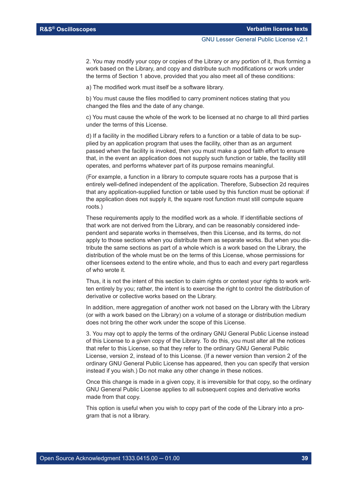2. You may modify your copy or copies of the Library or any portion of it, thus forming a work based on the Library, and copy and distribute such modifications or work under the terms of Section 1 above, provided that you also meet all of these conditions:

a) The modified work must itself be a software library.

b) You must cause the files modified to carry prominent notices stating that you changed the files and the date of any change.

c) You must cause the whole of the work to be licensed at no charge to all third parties under the terms of this License.

d) If a facility in the modified Library refers to a function or a table of data to be supplied by an application program that uses the facility, other than as an argument passed when the facility is invoked, then you must make a good faith effort to ensure that, in the event an application does not supply such function or table, the facility still operates, and performs whatever part of its purpose remains meaningful.

(For example, a function in a library to compute square roots has a purpose that is entirely well-defined independent of the application. Therefore, Subsection 2d requires that any application-supplied function or table used by this function must be optional: if the application does not supply it, the square root function must still compute square roots.)

These requirements apply to the modified work as a whole. If identifiable sections of that work are not derived from the Library, and can be reasonably considered independent and separate works in themselves, then this License, and its terms, do not apply to those sections when you distribute them as separate works. But when you distribute the same sections as part of a whole which is a work based on the Library, the distribution of the whole must be on the terms of this License, whose permissions for other licensees extend to the entire whole, and thus to each and every part regardless of who wrote it.

Thus, it is not the intent of this section to claim rights or contest your rights to work written entirely by you; rather, the intent is to exercise the right to control the distribution of derivative or collective works based on the Library.

In addition, mere aggregation of another work not based on the Library with the Library (or with a work based on the Library) on a volume of a storage or distribution medium does not bring the other work under the scope of this License.

3. You may opt to apply the terms of the ordinary GNU General Public License instead of this License to a given copy of the Library. To do this, you must alter all the notices that refer to this License, so that they refer to the ordinary GNU General Public License, version 2, instead of to this License. (If a newer version than version 2 of the ordinary GNU General Public License has appeared, then you can specify that version instead if you wish.) Do not make any other change in these notices.

Once this change is made in a given copy, it is irreversible for that copy, so the ordinary GNU General Public License applies to all subsequent copies and derivative works made from that copy.

This option is useful when you wish to copy part of the code of the Library into a program that is not a library.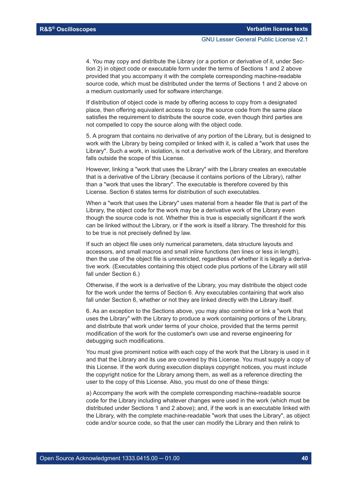4. You may copy and distribute the Library (or a portion or derivative of it, under Section 2) in object code or executable form under the terms of Sections 1 and 2 above provided that you accompany it with the complete corresponding machine-readable source code, which must be distributed under the terms of Sections 1 and 2 above on a medium customarily used for software interchange.

If distribution of object code is made by offering access to copy from a designated place, then offering equivalent access to copy the source code from the same place satisfies the requirement to distribute the source code, even though third parties are not compelled to copy the source along with the object code.

5. A program that contains no derivative of any portion of the Library, but is designed to work with the Library by being compiled or linked with it, is called a "work that uses the Library". Such a work, in isolation, is not a derivative work of the Library, and therefore falls outside the scope of this License.

However, linking a "work that uses the Library" with the Library creates an executable that is a derivative of the Library (because it contains portions of the Library), rather than a "work that uses the library". The executable is therefore covered by this License. Section 6 states terms for distribution of such executables.

When a "work that uses the Library" uses material from a header file that is part of the Library, the object code for the work may be a derivative work of the Library even though the source code is not. Whether this is true is especially significant if the work can be linked without the Library, or if the work is itself a library. The threshold for this to be true is not precisely defined by law.

If such an object file uses only numerical parameters, data structure layouts and accessors, and small macros and small inline functions (ten lines or less in length), then the use of the object file is unrestricted, regardless of whether it is legally a derivative work. (Executables containing this object code plus portions of the Library will still fall under Section 6.)

Otherwise, if the work is a derivative of the Library, you may distribute the object code for the work under the terms of Section 6. Any executables containing that work also fall under Section 6, whether or not they are linked directly with the Library itself.

6. As an exception to the Sections above, you may also combine or link a "work that uses the Library" with the Library to produce a work containing portions of the Library, and distribute that work under terms of your choice, provided that the terms permit modification of the work for the customer's own use and reverse engineering for debugging such modifications.

You must give prominent notice with each copy of the work that the Library is used in it and that the Library and its use are covered by this License. You must supply a copy of this License. If the work during execution displays copyright notices, you must include the copyright notice for the Library among them, as well as a reference directing the user to the copy of this License. Also, you must do one of these things:

a) Accompany the work with the complete corresponding machine-readable source code for the Library including whatever changes were used in the work (which must be distributed under Sections 1 and 2 above); and, if the work is an executable linked with the Library, with the complete machine-readable "work that uses the Library", as object code and/or source code, so that the user can modify the Library and then relink to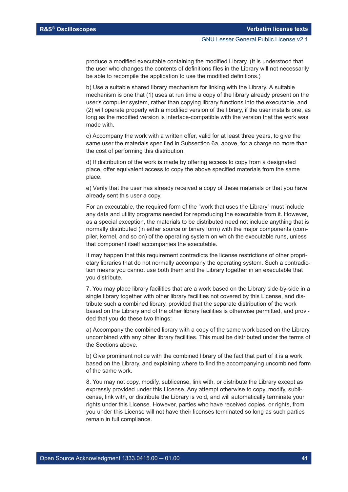produce a modified executable containing the modified Library. (It is understood that the user who changes the contents of definitions files in the Library will not necessarily be able to recompile the application to use the modified definitions.)

b) Use a suitable shared library mechanism for linking with the Library. A suitable mechanism is one that (1) uses at run time a copy of the library already present on the user's computer system, rather than copying library functions into the executable, and (2) will operate properly with a modified version of the library, if the user installs one, as long as the modified version is interface-compatible with the version that the work was made with.

c) Accompany the work with a written offer, valid for at least three years, to give the same user the materials specified in Subsection 6a, above, for a charge no more than the cost of performing this distribution.

d) If distribution of the work is made by offering access to copy from a designated place, offer equivalent access to copy the above specified materials from the same place.

e) Verify that the user has already received a copy of these materials or that you have already sent this user a copy.

For an executable, the required form of the "work that uses the Library" must include any data and utility programs needed for reproducing the executable from it. However, as a special exception, the materials to be distributed need not include anything that is normally distributed (in either source or binary form) with the major components (compiler, kernel, and so on) of the operating system on which the executable runs, unless that component itself accompanies the executable.

It may happen that this requirement contradicts the license restrictions of other proprietary libraries that do not normally accompany the operating system. Such a contradiction means you cannot use both them and the Library together in an executable that you distribute.

7. You may place library facilities that are a work based on the Library side-by-side in a single library together with other library facilities not covered by this License, and distribute such a combined library, provided that the separate distribution of the work based on the Library and of the other library facilities is otherwise permitted, and provided that you do these two things:

a) Accompany the combined library with a copy of the same work based on the Library, uncombined with any other library facilities. This must be distributed under the terms of the Sections above.

b) Give prominent notice with the combined library of the fact that part of it is a work based on the Library, and explaining where to find the accompanying uncombined form of the same work.

8. You may not copy, modify, sublicense, link with, or distribute the Library except as expressly provided under this License. Any attempt otherwise to copy, modify, sublicense, link with, or distribute the Library is void, and will automatically terminate your rights under this License. However, parties who have received copies, or rights, from you under this License will not have their licenses terminated so long as such parties remain in full compliance.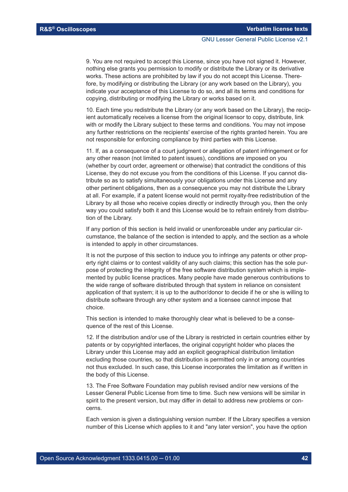9. You are not required to accept this License, since you have not signed it. However, nothing else grants you permission to modify or distribute the Library or its derivative works. These actions are prohibited by law if you do not accept this License. Therefore, by modifying or distributing the Library (or any work based on the Library), you indicate your acceptance of this License to do so, and all its terms and conditions for copying, distributing or modifying the Library or works based on it.

10. Each time you redistribute the Library (or any work based on the Library), the recipient automatically receives a license from the original licensor to copy, distribute, link with or modify the Library subject to these terms and conditions. You may not impose any further restrictions on the recipients' exercise of the rights granted herein. You are not responsible for enforcing compliance by third parties with this License.

11. If, as a consequence of a court judgment or allegation of patent infringement or for any other reason (not limited to patent issues), conditions are imposed on you (whether by court order, agreement or otherwise) that contradict the conditions of this License, they do not excuse you from the conditions of this License. If you cannot distribute so as to satisfy simultaneously your obligations under this License and any other pertinent obligations, then as a consequence you may not distribute the Library at all. For example, if a patent license would not permit royalty-free redistribution of the Library by all those who receive copies directly or indirectly through you, then the only way you could satisfy both it and this License would be to refrain entirely from distribution of the Library.

If any portion of this section is held invalid or unenforceable under any particular circumstance, the balance of the section is intended to apply, and the section as a whole is intended to apply in other circumstances.

It is not the purpose of this section to induce you to infringe any patents or other property right claims or to contest validity of any such claims; this section has the sole purpose of protecting the integrity of the free software distribution system which is implemented by public license practices. Many people have made generous contributions to the wide range of software distributed through that system in reliance on consistent application of that system; it is up to the author/donor to decide if he or she is willing to distribute software through any other system and a licensee cannot impose that choice.

This section is intended to make thoroughly clear what is believed to be a consequence of the rest of this License.

12. If the distribution and/or use of the Library is restricted in certain countries either by patents or by copyrighted interfaces, the original copyright holder who places the Library under this License may add an explicit geographical distribution limitation excluding those countries, so that distribution is permitted only in or among countries not thus excluded. In such case, this License incorporates the limitation as if written in the body of this License.

13. The Free Software Foundation may publish revised and/or new versions of the Lesser General Public License from time to time. Such new versions will be similar in spirit to the present version, but may differ in detail to address new problems or concerns.

Each version is given a distinguishing version number. If the Library specifies a version number of this License which applies to it and "any later version", you have the option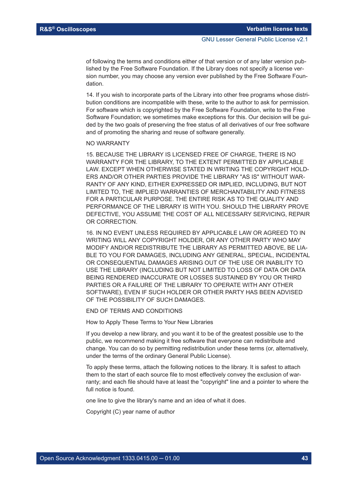of following the terms and conditions either of that version or of any later version published by the Free Software Foundation. If the Library does not specify a license version number, you may choose any version ever published by the Free Software Foundation.

14. If you wish to incorporate parts of the Library into other free programs whose distribution conditions are incompatible with these, write to the author to ask for permission. For software which is copyrighted by the Free Software Foundation, write to the Free Software Foundation; we sometimes make exceptions for this. Our decision will be guided by the two goals of preserving the free status of all derivatives of our free software and of promoting the sharing and reuse of software generally.

#### NO WARRANTY

15. BECAUSE THE LIBRARY IS LICENSED FREE OF CHARGE, THERE IS NO WARRANTY FOR THE LIBRARY, TO THE EXTENT PERMITTED BY APPLICABLE LAW. EXCEPT WHEN OTHERWISE STATED IN WRITING THE COPYRIGHT HOLD-ERS AND/OR OTHER PARTIES PROVIDE THE LIBRARY "AS IS" WITHOUT WAR-RANTY OF ANY KIND, EITHER EXPRESSED OR IMPLIED, INCLUDING, BUT NOT LIMITED TO, THE IMPLIED WARRANTIES OF MERCHANTABILITY AND FITNESS FOR A PARTICULAR PURPOSE. THE ENTIRE RISK AS TO THE QUALITY AND PERFORMANCE OF THE LIBRARY IS WITH YOU. SHOULD THE LIBRARY PROVE DEFECTIVE, YOU ASSUME THE COST OF ALL NECESSARY SERVICING, REPAIR OR CORRECTION.

16. IN NO EVENT UNLESS REQUIRED BY APPLICABLE LAW OR AGREED TO IN WRITING WILL ANY COPYRIGHT HOLDER, OR ANY OTHER PARTY WHO MAY MODIFY AND/OR REDISTRIBUTE THE LIBRARY AS PERMITTED ABOVE, BE LIA-BLE TO YOU FOR DAMAGES, INCLUDING ANY GENERAL, SPECIAL, INCIDENTAL OR CONSEQUENTIAL DAMAGES ARISING OUT OF THE USE OR INABILITY TO USE THE LIBRARY (INCLUDING BUT NOT LIMITED TO LOSS OF DATA OR DATA BEING RENDERED INACCURATE OR LOSSES SUSTAINED BY YOU OR THIRD PARTIES OR A FAILURE OF THE LIBRARY TO OPERATE WITH ANY OTHER SOFTWARE), EVEN IF SUCH HOLDER OR OTHER PARTY HAS BEEN ADVISED OF THE POSSIBILITY OF SUCH DAMAGES.

#### END OF TERMS AND CONDITIONS

How to Apply These Terms to Your New Libraries

If you develop a new library, and you want it to be of the greatest possible use to the public, we recommend making it free software that everyone can redistribute and change. You can do so by permitting redistribution under these terms (or, alternatively, under the terms of the ordinary General Public License).

To apply these terms, attach the following notices to the library. It is safest to attach them to the start of each source file to most effectively convey the exclusion of warranty; and each file should have at least the "copyright" line and a pointer to where the full notice is found.

one line to give the library's name and an idea of what it does.

Copyright (C) year name of author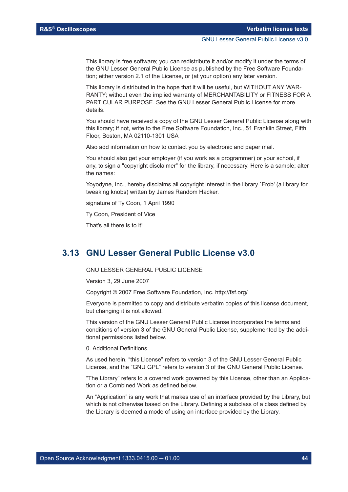<span id="page-43-0"></span>This library is free software; you can redistribute it and/or modify it under the terms of the GNU Lesser General Public License as published by the Free Software Foundation; either version 2.1 of the License, or (at your option) any later version.

This library is distributed in the hope that it will be useful, but WITHOUT ANY WAR-RANTY; without even the implied warranty of MERCHANTABILITY or FITNESS FOR A PARTICULAR PURPOSE. See the GNU Lesser General Public License for more details.

You should have received a copy of the GNU Lesser General Public License along with this library; if not, write to the Free Software Foundation, Inc., 51 Franklin Street, Fifth Floor, Boston, MA 02110-1301 USA

Also add information on how to contact you by electronic and paper mail.

You should also get your employer (if you work as a programmer) or your school, if any, to sign a "copyright disclaimer" for the library, if necessary. Here is a sample; alter the names:

Yoyodyne, Inc., hereby disclaims all copyright interest in the library `Frob' (a library for tweaking knobs) written by James Random Hacker.

signature of Ty Coon, 1 April 1990

Ty Coon, President of Vice

That's all there is to it!

## **3.13 GNU Lesser General Public License v3.0**

GNU LESSER GENERAL PUBLIC LICENSE

Version 3, 29 June 2007

Copyright © 2007 Free Software Foundation, Inc. http://fsf.org/

Everyone is permitted to copy and distribute verbatim copies of this license document, but changing it is not allowed.

This version of the GNU Lesser General Public License incorporates the terms and conditions of version 3 of the GNU General Public License, supplemented by the additional permissions listed below.

0. Additional Definitions.

As used herein, "this License" refers to version 3 of the GNU Lesser General Public License, and the "GNU GPL" refers to version 3 of the GNU General Public License.

"The Library" refers to a covered work governed by this License, other than an Application or a Combined Work as defined below.

An "Application" is any work that makes use of an interface provided by the Library, but which is not otherwise based on the Library. Defining a subclass of a class defined by the Library is deemed a mode of using an interface provided by the Library.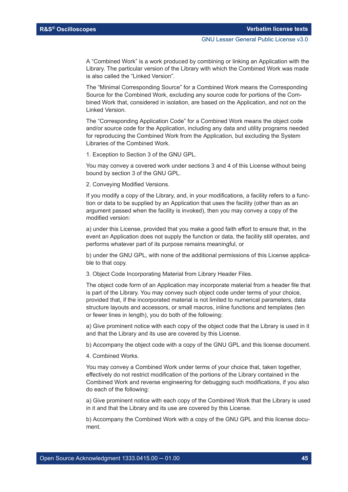A "Combined Work" is a work produced by combining or linking an Application with the Library. The particular version of the Library with which the Combined Work was made is also called the "Linked Version".

The "Minimal Corresponding Source" for a Combined Work means the Corresponding Source for the Combined Work, excluding any source code for portions of the Combined Work that, considered in isolation, are based on the Application, and not on the Linked Version.

The "Corresponding Application Code" for a Combined Work means the object code and/or source code for the Application, including any data and utility programs needed for reproducing the Combined Work from the Application, but excluding the System Libraries of the Combined Work.

1. Exception to Section 3 of the GNU GPL.

You may convey a covered work under sections 3 and 4 of this License without being bound by section 3 of the GNU GPL.

2. Conveying Modified Versions.

If you modify a copy of the Library, and, in your modifications, a facility refers to a function or data to be supplied by an Application that uses the facility (other than as an argument passed when the facility is invoked), then you may convey a copy of the modified version:

a) under this License, provided that you make a good faith effort to ensure that, in the event an Application does not supply the function or data, the facility still operates, and performs whatever part of its purpose remains meaningful, or

b) under the GNU GPL, with none of the additional permissions of this License applicable to that copy.

3. Object Code Incorporating Material from Library Header Files.

The object code form of an Application may incorporate material from a header file that is part of the Library. You may convey such object code under terms of your choice, provided that, if the incorporated material is not limited to numerical parameters, data structure layouts and accessors, or small macros, inline functions and templates (ten or fewer lines in length), you do both of the following:

a) Give prominent notice with each copy of the object code that the Library is used in it and that the Library and its use are covered by this License.

b) Accompany the object code with a copy of the GNU GPL and this license document.

4. Combined Works.

You may convey a Combined Work under terms of your choice that, taken together, effectively do not restrict modification of the portions of the Library contained in the Combined Work and reverse engineering for debugging such modifications, if you also do each of the following:

a) Give prominent notice with each copy of the Combined Work that the Library is used in it and that the Library and its use are covered by this License.

b) Accompany the Combined Work with a copy of the GNU GPL and this license document.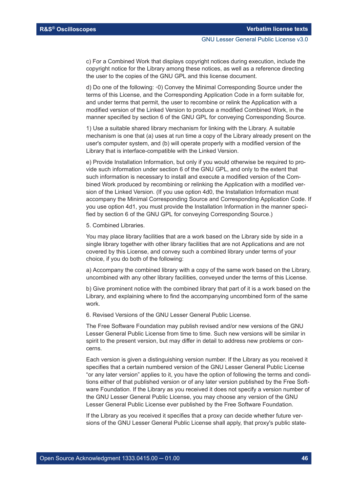c) For a Combined Work that displays copyright notices during execution, include the copyright notice for the Library among these notices, as well as a reference directing the user to the copies of the GNU GPL and this license document.

d) Do one of the following: ◦0) Convey the Minimal Corresponding Source under the terms of this License, and the Corresponding Application Code in a form suitable for, and under terms that permit, the user to recombine or relink the Application with a modified version of the Linked Version to produce a modified Combined Work, in the manner specified by section 6 of the GNU GPL for conveying Corresponding Source.

1) Use a suitable shared library mechanism for linking with the Library. A suitable mechanism is one that (a) uses at run time a copy of the Library already present on the user's computer system, and (b) will operate properly with a modified version of the Library that is interface-compatible with the Linked Version.

e) Provide Installation Information, but only if you would otherwise be required to provide such information under section 6 of the GNU GPL, and only to the extent that such information is necessary to install and execute a modified version of the Combined Work produced by recombining or relinking the Application with a modified version of the Linked Version. (If you use option 4d0, the Installation Information must accompany the Minimal Corresponding Source and Corresponding Application Code. If you use option 4d1, you must provide the Installation Information in the manner specified by section 6 of the GNU GPL for conveying Corresponding Source.)

5. Combined Libraries.

You may place library facilities that are a work based on the Library side by side in a single library together with other library facilities that are not Applications and are not covered by this License, and convey such a combined library under terms of your choice, if you do both of the following:

a) Accompany the combined library with a copy of the same work based on the Library, uncombined with any other library facilities, conveyed under the terms of this License.

b) Give prominent notice with the combined library that part of it is a work based on the Library, and explaining where to find the accompanying uncombined form of the same work.

6. Revised Versions of the GNU Lesser General Public License.

The Free Software Foundation may publish revised and/or new versions of the GNU Lesser General Public License from time to time. Such new versions will be similar in spirit to the present version, but may differ in detail to address new problems or concerns.

Each version is given a distinguishing version number. If the Library as you received it specifies that a certain numbered version of the GNU Lesser General Public License "or any later version" applies to it, you have the option of following the terms and conditions either of that published version or of any later version published by the Free Software Foundation. If the Library as you received it does not specify a version number of the GNU Lesser General Public License, you may choose any version of the GNU Lesser General Public License ever published by the Free Software Foundation.

If the Library as you received it specifies that a proxy can decide whether future versions of the GNU Lesser General Public License shall apply, that proxy's public state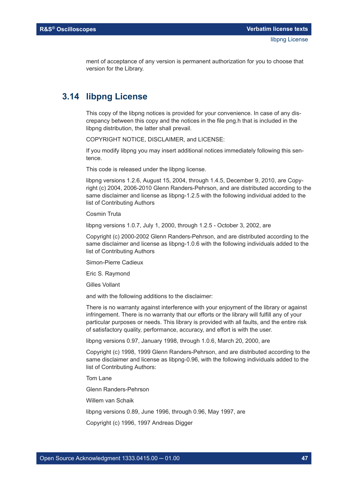<span id="page-46-0"></span>ment of acceptance of any version is permanent authorization for you to choose that version for the Library.

## **3.14 libpng License**

This copy of the libpng notices is provided for your convenience. In case of any discrepancy between this copy and the notices in the file png.h that is included in the libpng distribution, the latter shall prevail.

COPYRIGHT NOTICE, DISCLAIMER, and LICENSE:

If you modify libpng you may insert additional notices immediately following this sentence.

This code is released under the libpng license.

libpng versions 1.2.6, August 15, 2004, through 1.4.5, December 9, 2010, are Copyright (c) 2004, 2006-2010 Glenn Randers-Pehrson, and are distributed according to the same disclaimer and license as libpng-1.2.5 with the following individual added to the list of Contributing Authors

### Cosmin Truta

libpng versions 1.0.7, July 1, 2000, through 1.2.5 - October 3, 2002, are

Copyright (c) 2000-2002 Glenn Randers-Pehrson, and are distributed according to the same disclaimer and license as libpng-1.0.6 with the following individuals added to the list of Contributing Authors

Simon-Pierre Cadieux

Eric S. Raymond

Gilles Vollant

and with the following additions to the disclaimer:

There is no warranty against interference with your enjoyment of the library or against infringement. There is no warranty that our efforts or the library will fulfill any of your particular purposes or needs. This library is provided with all faults, and the entire risk of satisfactory quality, performance, accuracy, and effort is with the user.

libpng versions 0.97, January 1998, through 1.0.6, March 20, 2000, are

Copyright (c) 1998, 1999 Glenn Randers-Pehrson, and are distributed according to the same disclaimer and license as libpng-0.96, with the following individuals added to the list of Contributing Authors:

Tom Lane

Glenn Randers-Pehrson

Willem van Schaik

libpng versions 0.89, June 1996, through 0.96, May 1997, are

Copyright (c) 1996, 1997 Andreas Digger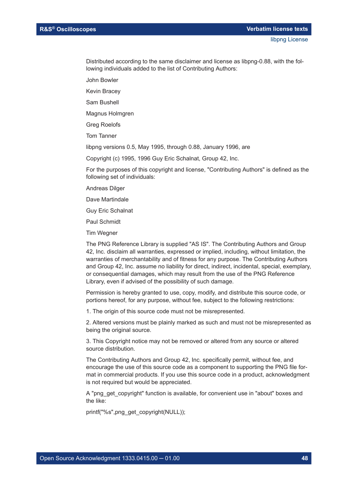Distributed according to the same disclaimer and license as libpng-0.88, with the following individuals added to the list of Contributing Authors:

John Bowler

Kevin Bracey

Sam Bushell

Magnus Holmgren

Greg Roelofs

Tom Tanner

libpng versions 0.5, May 1995, through 0.88, January 1996, are

Copyright (c) 1995, 1996 Guy Eric Schalnat, Group 42, Inc.

For the purposes of this copyright and license, "Contributing Authors" is defined as the following set of individuals:

Andreas Dilger

Dave Martindale

Guy Eric Schalnat

Paul Schmidt

Tim Wegner

The PNG Reference Library is supplied "AS IS". The Contributing Authors and Group 42, Inc. disclaim all warranties, expressed or implied, including, without limitation, the warranties of merchantability and of fitness for any purpose. The Contributing Authors and Group 42, Inc. assume no liability for direct, indirect, incidental, special, exemplary, or consequential damages, which may result from the use of the PNG Reference Library, even if advised of the possibility of such damage.

Permission is hereby granted to use, copy, modify, and distribute this source code, or portions hereof, for any purpose, without fee, subject to the following restrictions:

1. The origin of this source code must not be misrepresented.

2. Altered versions must be plainly marked as such and must not be misrepresented as being the original source.

3. This Copyright notice may not be removed or altered from any source or altered source distribution.

The Contributing Authors and Group 42, Inc. specifically permit, without fee, and encourage the use of this source code as a component to supporting the PNG file format in commercial products. If you use this source code in a product, acknowledgment is not required but would be appreciated.

A "png\_get\_copyright" function is available, for convenient use in "about" boxes and the like:

printf("%s",png\_get\_copyright(NULL));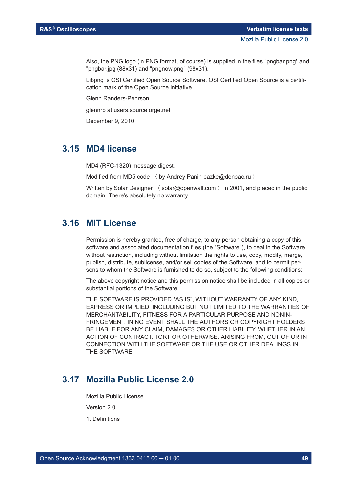<span id="page-48-0"></span>Also, the PNG logo (in PNG format, of course) is supplied in the files "pngbar.png" and "pngbar.jpg (88x31) and "pngnow.png" (98x31).

Libpng is OSI Certified Open Source Software. OSI Certified Open Source is a certification mark of the Open Source Initiative.

Glenn Randers-Pehrson

glennrp at users.sourceforge.net

December 9, 2010

## **3.15 MD4 license**

MD4 (RFC-1320) message digest.

Modified from MD5 code 〈 by Andrey Panin pazke@donpac.ru 〉

Written by Solar Designer  $\langle$  solar@openwall.com  $\rangle$  in 2001, and placed in the public domain. There's absolutely no warranty.

## **3.16 MIT License**

Permission is hereby granted, free of charge, to any person obtaining a copy of this software and associated documentation files (the "Software"), to deal in the Software without restriction, including without limitation the rights to use, copy, modify, merge, publish, distribute, sublicense, and/or sell copies of the Software, and to permit persons to whom the Software is furnished to do so, subject to the following conditions:

The above copyright notice and this permission notice shall be included in all copies or substantial portions of the Software.

THE SOFTWARE IS PROVIDED "AS IS", WITHOUT WARRANTY OF ANY KIND, EXPRESS OR IMPLIED, INCLUDING BUT NOT LIMITED TO THE WARRANTIES OF MERCHANTABILITY, FITNESS FOR A PARTICULAR PURPOSE AND NONIN-FRINGEMENT. IN NO EVENT SHALL THE AUTHORS OR COPYRIGHT HOLDERS BE LIABLE FOR ANY CLAIM, DAMAGES OR OTHER LIABILITY, WHETHER IN AN ACTION OF CONTRACT, TORT OR OTHERWISE, ARISING FROM, OUT OF OR IN CONNECTION WITH THE SOFTWARE OR THE USE OR OTHER DEALINGS IN THE SOFTWARE.

## **3.17 Mozilla Public License 2.0**

Mozilla Public License Version 2.0 1. Definitions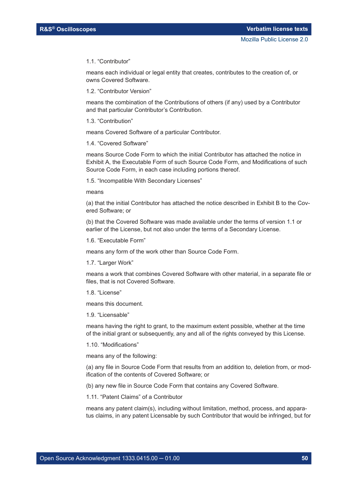### 1.1. "Contributor"

means each individual or legal entity that creates, contributes to the creation of, or owns Covered Software.

1.2. "Contributor Version"

means the combination of the Contributions of others (if any) used by a Contributor and that particular Contributor's Contribution.

1.3. "Contribution"

means Covered Software of a particular Contributor.

1.4. "Covered Software"

means Source Code Form to which the initial Contributor has attached the notice in Exhibit A, the Executable Form of such Source Code Form, and Modifications of such Source Code Form, in each case including portions thereof.

1.5. "Incompatible With Secondary Licenses"

means

(a) that the initial Contributor has attached the notice described in Exhibit B to the Covered Software; or

(b) that the Covered Software was made available under the terms of version 1.1 or earlier of the License, but not also under the terms of a Secondary License.

1.6. "Executable Form"

means any form of the work other than Source Code Form.

1.7. "Larger Work"

means a work that combines Covered Software with other material, in a separate file or files, that is not Covered Software.

1.8. "License"

means this document.

1.9. "Licensable"

means having the right to grant, to the maximum extent possible, whether at the time of the initial grant or subsequently, any and all of the rights conveyed by this License.

1.10. "Modifications"

means any of the following:

(a) any file in Source Code Form that results from an addition to, deletion from, or modification of the contents of Covered Software; or

(b) any new file in Source Code Form that contains any Covered Software.

1.11. "Patent Claims" of a Contributor

means any patent claim(s), including without limitation, method, process, and apparatus claims, in any patent Licensable by such Contributor that would be infringed, but for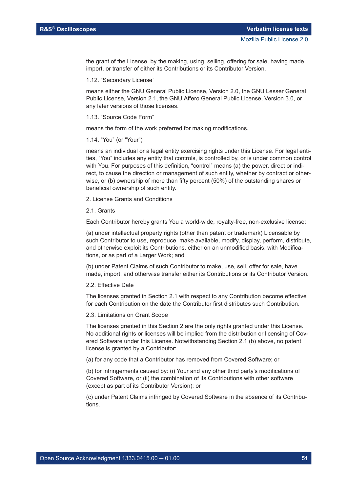the grant of the License, by the making, using, selling, offering for sale, having made, import, or transfer of either its Contributions or its Contributor Version.

1.12. "Secondary License"

means either the GNU General Public License, Version 2.0, the GNU Lesser General Public License, Version 2.1, the GNU Affero General Public License, Version 3.0, or any later versions of those licenses.

1.13. "Source Code Form"

means the form of the work preferred for making modifications.

1.14. "You" (or "Your")

means an individual or a legal entity exercising rights under this License. For legal entities, "You" includes any entity that controls, is controlled by, or is under common control with You. For purposes of this definition, "control" means (a) the power, direct or indirect, to cause the direction or management of such entity, whether by contract or otherwise, or (b) ownership of more than fifty percent (50%) of the outstanding shares or beneficial ownership of such entity.

2. License Grants and Conditions

2.1. Grants

Each Contributor hereby grants You a world-wide, royalty-free, non-exclusive license:

(a) under intellectual property rights (other than patent or trademark) Licensable by such Contributor to use, reproduce, make available, modify, display, perform, distribute, and otherwise exploit its Contributions, either on an unmodified basis, with Modifications, or as part of a Larger Work; and

(b) under Patent Claims of such Contributor to make, use, sell, offer for sale, have made, import, and otherwise transfer either its Contributions or its Contributor Version.

#### 2.2. Effective Date

The licenses granted in Section 2.1 with respect to any Contribution become effective for each Contribution on the date the Contributor first distributes such Contribution.

#### 2.3. Limitations on Grant Scope

The licenses granted in this Section 2 are the only rights granted under this License. No additional rights or licenses will be implied from the distribution or licensing of Covered Software under this License. Notwithstanding Section 2.1 (b) above, no patent license is granted by a Contributor:

(a) for any code that a Contributor has removed from Covered Software; or

(b) for infringements caused by: (i) Your and any other third party's modifications of Covered Software, or (ii) the combination of its Contributions with other software (except as part of its Contributor Version); or

(c) under Patent Claims infringed by Covered Software in the absence of its Contributions.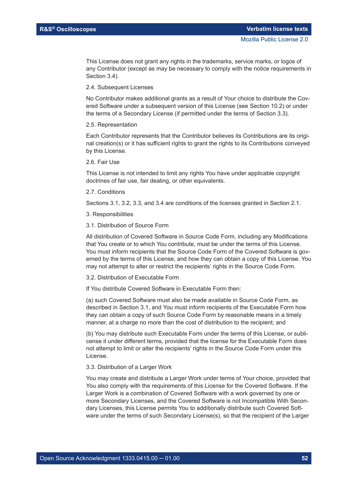This License does not grant any rights in the trademarks, service marks, or logos of any Contributor (except as may be necessary to comply with the notice requirements in Section 3.4).

2.4. Subsequent Licenses

No Contributor makes additional grants as a result of Your choice to distribute the Covered Software under a subsequent version of this License (see Section 10.2) or under the terms of a Secondary License (if permitted under the terms of Section 3.3).

2.5. Representation

Each Contributor represents that the Contributor believes its Contributions are its original creation(s) or it has sufficient rights to grant the rights to its Contributions conveyed by this License.

2.6. Fair Use

This License is not intended to limit any rights You have under applicable copyright doctrines of fair use, fair dealing, or other equivalents.

2.7. Conditions

Sections 3.1, 3.2, 3.3, and 3.4 are conditions of the licenses granted in Section 2.1.

- 3. Responsibilities
- 3.1. Distribution of Source Form

All distribution of Covered Software in Source Code Form, including any Modifications that You create or to which You contribute, must be under the terms of this License. You must inform recipients that the Source Code Form of the Covered Software is governed by the terms of this License, and how they can obtain a copy of this License. You may not attempt to alter or restrict the recipients' rights in the Source Code Form.

3.2. Distribution of Executable Form

If You distribute Covered Software in Executable Form then:

(a) such Covered Software must also be made available in Source Code Form, as described in Section 3.1, and You must inform recipients of the Executable Form how they can obtain a copy of such Source Code Form by reasonable means in a timely manner, at a charge no more than the cost of distribution to the recipient; and

(b) You may distribute such Executable Form under the terms of this License, or sublicense it under different terms, provided that the license for the Executable Form does not attempt to limit or alter the recipients' rights in the Source Code Form under this License.

3.3. Distribution of a Larger Work

You may create and distribute a Larger Work under terms of Your choice, provided that You also comply with the requirements of this License for the Covered Software. If the Larger Work is a combination of Covered Software with a work governed by one or more Secondary Licenses, and the Covered Software is not Incompatible With Secondary Licenses, this License permits You to additionally distribute such Covered Software under the terms of such Secondary License(s), so that the recipient of the Larger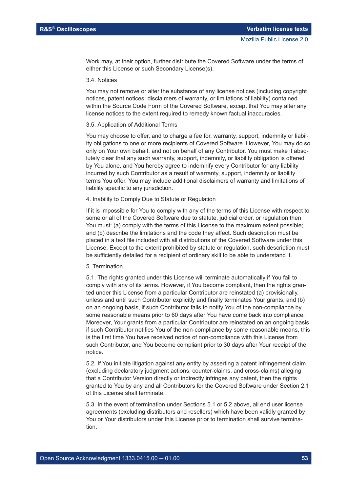Work may, at their option, further distribute the Covered Software under the terms of either this License or such Secondary License(s).

#### 3.4. Notices

You may not remove or alter the substance of any license notices (including copyright notices, patent notices, disclaimers of warranty, or limitations of liability) contained within the Source Code Form of the Covered Software, except that You may alter any license notices to the extent required to remedy known factual inaccuracies.

### 3.5. Application of Additional Terms

You may choose to offer, and to charge a fee for, warranty, support, indemnity or liability obligations to one or more recipients of Covered Software. However, You may do so only on Your own behalf, and not on behalf of any Contributor. You must make it absolutely clear that any such warranty, support, indemnity, or liability obligation is offered by You alone, and You hereby agree to indemnify every Contributor for any liability incurred by such Contributor as a result of warranty, support, indemnity or liability terms You offer. You may include additional disclaimers of warranty and limitations of liability specific to any jurisdiction.

#### 4. Inability to Comply Due to Statute or Regulation

If it is impossible for You to comply with any of the terms of this License with respect to some or all of the Covered Software due to statute, judicial order, or regulation then You must: (a) comply with the terms of this License to the maximum extent possible; and (b) describe the limitations and the code they affect. Such description must be placed in a text file included with all distributions of the Covered Software under this License. Except to the extent prohibited by statute or regulation, such description must be sufficiently detailed for a recipient of ordinary skill to be able to understand it.

#### 5. Termination

5.1. The rights granted under this License will terminate automatically if You fail to comply with any of its terms. However, if You become compliant, then the rights granted under this License from a particular Contributor are reinstated (a) provisionally, unless and until such Contributor explicitly and finally terminates Your grants, and (b) on an ongoing basis, if such Contributor fails to notify You of the non-compliance by some reasonable means prior to 60 days after You have come back into compliance. Moreover, Your grants from a particular Contributor are reinstated on an ongoing basis if such Contributor notifies You of the non-compliance by some reasonable means, this is the first time You have received notice of non-compliance with this License from such Contributor, and You become compliant prior to 30 days after Your receipt of the notice.

5.2. If You initiate litigation against any entity by asserting a patent infringement claim (excluding declaratory judgment actions, counter-claims, and cross-claims) alleging that a Contributor Version directly or indirectly infringes any patent, then the rights granted to You by any and all Contributors for the Covered Software under Section 2.1 of this License shall terminate.

5.3. In the event of termination under Sections 5.1 or 5.2 above, all end user license agreements (excluding distributors and resellers) which have been validly granted by You or Your distributors under this License prior to termination shall survive termination.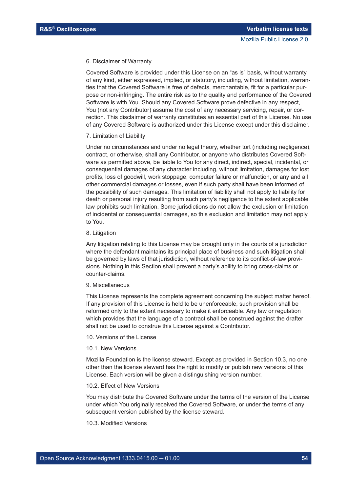#### 6. Disclaimer of Warranty

Covered Software is provided under this License on an "as is" basis, without warranty of any kind, either expressed, implied, or statutory, including, without limitation, warranties that the Covered Software is free of defects, merchantable, fit for a particular purpose or non-infringing. The entire risk as to the quality and performance of the Covered Software is with You. Should any Covered Software prove defective in any respect, You (not any Contributor) assume the cost of any necessary servicing, repair, or correction. This disclaimer of warranty constitutes an essential part of this License. No use of any Covered Software is authorized under this License except under this disclaimer.

#### 7. Limitation of Liability

Under no circumstances and under no legal theory, whether tort (including negligence), contract, or otherwise, shall any Contributor, or anyone who distributes Covered Software as permitted above, be liable to You for any direct, indirect, special, incidental, or consequential damages of any character including, without limitation, damages for lost profits, loss of goodwill, work stoppage, computer failure or malfunction, or any and all other commercial damages or losses, even if such party shall have been informed of the possibility of such damages. This limitation of liability shall not apply to liability for death or personal injury resulting from such party's negligence to the extent applicable law prohibits such limitation. Some jurisdictions do not allow the exclusion or limitation of incidental or consequential damages, so this exclusion and limitation may not apply to You.

#### 8. Litigation

Any litigation relating to this License may be brought only in the courts of a jurisdiction where the defendant maintains its principal place of business and such litigation shall be governed by laws of that jurisdiction, without reference to its conflict-of-law provisions. Nothing in this Section shall prevent a party's ability to bring cross-claims or counter-claims.

#### 9. Miscellaneous

This License represents the complete agreement concerning the subject matter hereof. If any provision of this License is held to be unenforceable, such provision shall be reformed only to the extent necessary to make it enforceable. Any law or regulation which provides that the language of a contract shall be construed against the drafter shall not be used to construe this License against a Contributor.

#### 10. Versions of the License

#### 10.1. New Versions

Mozilla Foundation is the license steward. Except as provided in Section 10.3, no one other than the license steward has the right to modify or publish new versions of this License. Each version will be given a distinguishing version number.

### 10.2. Effect of New Versions

You may distribute the Covered Software under the terms of the version of the License under which You originally received the Covered Software, or under the terms of any subsequent version published by the license steward.

### 10.3. Modified Versions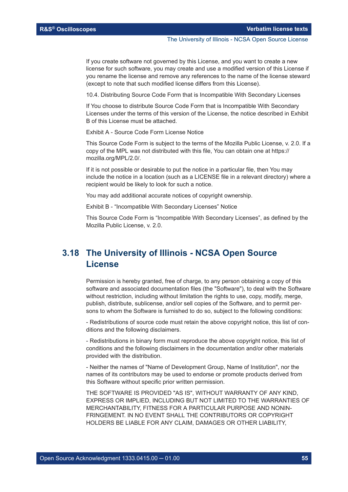<span id="page-54-0"></span>If you create software not governed by this License, and you want to create a new license for such software, you may create and use a modified version of this License if you rename the license and remove any references to the name of the license steward (except to note that such modified license differs from this License).

10.4. Distributing Source Code Form that is Incompatible With Secondary Licenses

If You choose to distribute Source Code Form that is Incompatible With Secondary Licenses under the terms of this version of the License, the notice described in Exhibit B of this License must be attached.

Exhibit A - Source Code Form License Notice

This Source Code Form is subject to the terms of the Mozilla Public License, v. 2.0. If a copy of the MPL was not distributed with this file, You can obtain one at https:// mozilla.org/MPL/2.0/.

If it is not possible or desirable to put the notice in a particular file, then You may include the notice in a location (such as a LICENSE file in a relevant directory) where a recipient would be likely to look for such a notice.

You may add additional accurate notices of copyright ownership.

Exhibit B - "Incompatible With Secondary Licenses" Notice

This Source Code Form is "Incompatible With Secondary Licenses", as defined by the Mozilla Public License, v. 2.0.

## **3.18 The University of Illinois - NCSA Open Source License**

Permission is hereby granted, free of charge, to any person obtaining a copy of this software and associated documentation files (the "Software"), to deal with the Software without restriction, including without limitation the rights to use, copy, modify, merge, publish, distribute, sublicense, and/or sell copies of the Software, and to permit persons to whom the Software is furnished to do so, subject to the following conditions:

- Redistributions of source code must retain the above copyright notice, this list of conditions and the following disclaimers.

- Redistributions in binary form must reproduce the above copyright notice, this list of conditions and the following disclaimers in the documentation and/or other materials provided with the distribution.

- Neither the names of "Name of Development Group, Name of Institution", nor the names of its contributors may be used to endorse or promote products derived from this Software without specific prior written permission.

THE SOFTWARE IS PROVIDED "AS IS", WITHOUT WARRANTY OF ANY KIND, EXPRESS OR IMPLIED, INCLUDING BUT NOT LIMITED TO THE WARRANTIES OF MERCHANTABILITY, FITNESS FOR A PARTICULAR PURPOSE AND NONIN-FRINGEMENT. IN NO EVENT SHALL THE CONTRIBUTORS OR COPYRIGHT HOLDERS BE LIABLE FOR ANY CLAIM, DAMAGES OR OTHER LIABILITY,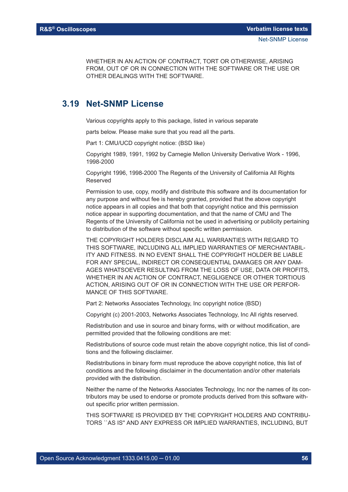<span id="page-55-0"></span>WHETHER IN AN ACTION OF CONTRACT, TORT OR OTHERWISE, ARISING FROM, OUT OF OR IN CONNECTION WITH THE SOFTWARE OR THE USE OR OTHER DEALINGS WITH THE SOFTWARE.

## **3.19 Net-SNMP License**

Various copyrights apply to this package, listed in various separate

parts below. Please make sure that you read all the parts.

Part 1: CMU/UCD copyright notice: (BSD like)

Copyright 1989, 1991, 1992 by Carnegie Mellon University Derivative Work - 1996, 1998-2000

Copyright 1996, 1998-2000 The Regents of the University of California All Rights Reserved

Permission to use, copy, modify and distribute this software and its documentation for any purpose and without fee is hereby granted, provided that the above copyright notice appears in all copies and that both that copyright notice and this permission notice appear in supporting documentation, and that the name of CMU and The Regents of the University of California not be used in advertising or publicity pertaining to distribution of the software without specific written permission.

THE COPYRIGHT HOLDERS DISCLAIM ALL WARRANTIES WITH REGARD TO THIS SOFTWARE, INCLUDING ALL IMPLIED WARRANTIES OF MERCHANTABIL-ITY AND FITNESS. IN NO EVENT SHALL THE COPYRIGHT HOLDER BE LIABLE FOR ANY SPECIAL, INDIRECT OR CONSEQUENTIAL DAMAGES OR ANY DAM-AGES WHATSOEVER RESULTING FROM THE LOSS OF USE, DATA OR PROFITS, WHETHER IN AN ACTION OF CONTRACT, NEGLIGENCE OR OTHER TORTIOUS ACTION, ARISING OUT OF OR IN CONNECTION WITH THE USE OR PERFOR-MANCE OF THIS SOFTWARE.

Part 2: Networks Associates Technology, Inc copyright notice (BSD)

Copyright (c) 2001-2003, Networks Associates Technology, Inc All rights reserved.

Redistribution and use in source and binary forms, with or without modification, are permitted provided that the following conditions are met:

Redistributions of source code must retain the above copyright notice, this list of conditions and the following disclaimer.

Redistributions in binary form must reproduce the above copyright notice, this list of conditions and the following disclaimer in the documentation and/or other materials provided with the distribution.

Neither the name of the Networks Associates Technology, Inc nor the names of its contributors may be used to endorse or promote products derived from this software without specific prior written permission.

THIS SOFTWARE IS PROVIDED BY THE COPYRIGHT HOLDERS AND CONTRIBU-TORS ``AS IS'' AND ANY EXPRESS OR IMPLIED WARRANTIES, INCLUDING, BUT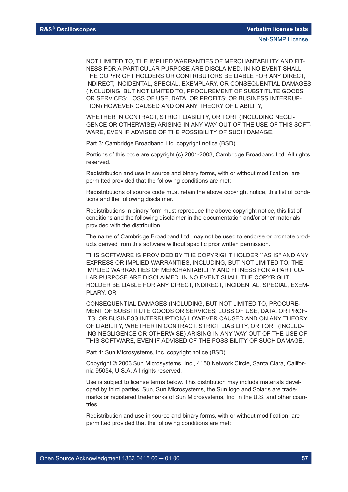NOT LIMITED TO, THE IMPLIED WARRANTIES OF MERCHANTABILITY AND FIT-NESS FOR A PARTICULAR PURPOSE ARE DISCLAIMED. IN NO EVENT SHALL THE COPYRIGHT HOLDERS OR CONTRIBUTORS BE LIABLE FOR ANY DIRECT, INDIRECT, INCIDENTAL, SPECIAL, EXEMPLARY, OR CONSEQUENTIAL DAMAGES (INCLUDING, BUT NOT LIMITED TO, PROCUREMENT OF SUBSTITUTE GOODS OR SERVICES; LOSS OF USE, DATA, OR PROFITS; OR BUSINESS INTERRUP-TION) HOWEVER CAUSED AND ON ANY THEORY OF LIABILITY,

WHETHER IN CONTRACT, STRICT LIABILITY, OR TORT (INCLUDING NEGLI-GENCE OR OTHERWISE) ARISING IN ANY WAY OUT OF THE USE OF THIS SOFT-WARE, EVEN IF ADVISED OF THE POSSIBILITY OF SUCH DAMAGE.

Part 3: Cambridge Broadband Ltd. copyright notice (BSD)

Portions of this code are copyright (c) 2001-2003, Cambridge Broadband Ltd. All rights reserved.

Redistribution and use in source and binary forms, with or without modification, are permitted provided that the following conditions are met:

Redistributions of source code must retain the above copyright notice, this list of conditions and the following disclaimer.

Redistributions in binary form must reproduce the above copyright notice, this list of conditions and the following disclaimer in the documentation and/or other materials provided with the distribution.

The name of Cambridge Broadband Ltd. may not be used to endorse or promote products derived from this software without specific prior written permission.

THIS SOFTWARE IS PROVIDED BY THE COPYRIGHT HOLDER ``AS IS'' AND ANY EXPRESS OR IMPLIED WARRANTIES, INCLUDING, BUT NOT LIMITED TO, THE IMPLIED WARRANTIES OF MERCHANTABILITY AND FITNESS FOR A PARTICU-LAR PURPOSE ARE DISCLAIMED. IN NO EVENT SHALL THE COPYRIGHT HOLDER BE LIABLE FOR ANY DIRECT, INDIRECT, INCIDENTAL, SPECIAL, EXEM-PLARY, OR

CONSEQUENTIAL DAMAGES (INCLUDING, BUT NOT LIMITED TO, PROCURE-MENT OF SUBSTITUTE GOODS OR SERVICES; LOSS OF USE, DATA, OR PROF-ITS; OR BUSINESS INTERRUPTION) HOWEVER CAUSED AND ON ANY THEORY OF LIABILITY, WHETHER IN CONTRACT, STRICT LIABILITY, OR TORT (INCLUD-ING NEGLIGENCE OR OTHERWISE) ARISING IN ANY WAY OUT OF THE USE OF THIS SOFTWARE, EVEN IF ADVISED OF THE POSSIBILITY OF SUCH DAMAGE.

Part 4: Sun Microsystems, Inc. copyright notice (BSD)

Copyright © 2003 Sun Microsystems, Inc., 4150 Network Circle, Santa Clara, California 95054, U.S.A. All rights reserved.

Use is subject to license terms below. This distribution may include materials developed by third parties. Sun, Sun Microsystems, the Sun logo and Solaris are trademarks or registered trademarks of Sun Microsystems, Inc. in the U.S. and other countries.

Redistribution and use in source and binary forms, with or without modification, are permitted provided that the following conditions are met: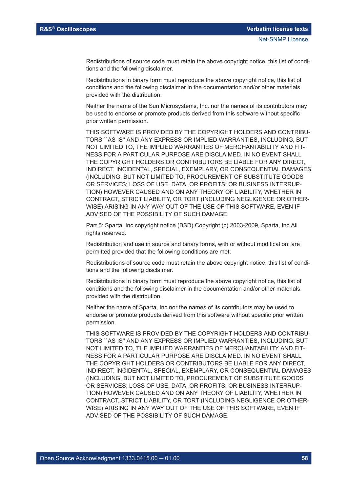Redistributions of source code must retain the above copyright notice, this list of conditions and the following disclaimer.

Redistributions in binary form must reproduce the above copyright notice, this list of conditions and the following disclaimer in the documentation and/or other materials provided with the distribution.

Neither the name of the Sun Microsystems, Inc. nor the names of its contributors may be used to endorse or promote products derived from this software without specific prior written permission.

THIS SOFTWARE IS PROVIDED BY THE COPYRIGHT HOLDERS AND CONTRIBU-TORS ``AS IS'' AND ANY EXPRESS OR IMPLIED WARRANTIES, INCLUDING, BUT NOT LIMITED TO, THE IMPLIED WARRANTIES OF MERCHANTABILITY AND FIT-NESS FOR A PARTICULAR PURPOSE ARE DISCLAIMED. IN NO EVENT SHALL THE COPYRIGHT HOLDERS OR CONTRIBUTORS BE LIABLE FOR ANY DIRECT, INDIRECT, INCIDENTAL, SPECIAL, EXEMPLARY, OR CONSEQUENTIAL DAMAGES (INCLUDING, BUT NOT LIMITED TO, PROCUREMENT OF SUBSTITUTE GOODS OR SERVICES; LOSS OF USE, DATA, OR PROFITS; OR BUSINESS INTERRUP-TION) HOWEVER CAUSED AND ON ANY THEORY OF LIABILITY, WHETHER IN CONTRACT, STRICT LIABILITY, OR TORT (INCLUDING NEGLIGENCE OR OTHER-WISE) ARISING IN ANY WAY OUT OF THE USE OF THIS SOFTWARE, EVEN IF ADVISED OF THE POSSIBILITY OF SUCH DAMAGE.

Part 5: Sparta, Inc copyright notice (BSD) Copyright (c) 2003-2009, Sparta, Inc All rights reserved.

Redistribution and use in source and binary forms, with or without modification, are permitted provided that the following conditions are met:

Redistributions of source code must retain the above copyright notice, this list of conditions and the following disclaimer.

Redistributions in binary form must reproduce the above copyright notice, this list of conditions and the following disclaimer in the documentation and/or other materials provided with the distribution.

Neither the name of Sparta, Inc nor the names of its contributors may be used to endorse or promote products derived from this software without specific prior written permission.

THIS SOFTWARE IS PROVIDED BY THE COPYRIGHT HOLDERS AND CONTRIBU-TORS ``AS IS'' AND ANY EXPRESS OR IMPLIED WARRANTIES, INCLUDING, BUT NOT LIMITED TO, THE IMPLIED WARRANTIES OF MERCHANTABILITY AND FIT-NESS FOR A PARTICULAR PURPOSE ARE DISCLAIMED. IN NO EVENT SHALL THE COPYRIGHT HOLDERS OR CONTRIBUTORS BE LIABLE FOR ANY DIRECT, INDIRECT, INCIDENTAL, SPECIAL, EXEMPLARY, OR CONSEQUENTIAL DAMAGES (INCLUDING, BUT NOT LIMITED TO, PROCUREMENT OF SUBSTITUTE GOODS OR SERVICES; LOSS OF USE, DATA, OR PROFITS; OR BUSINESS INTERRUP-TION) HOWEVER CAUSED AND ON ANY THEORY OF LIABILITY, WHETHER IN CONTRACT, STRICT LIABILITY, OR TORT (INCLUDING NEGLIGENCE OR OTHER-WISE) ARISING IN ANY WAY OUT OF THE USE OF THIS SOFTWARE, EVEN IF ADVISED OF THE POSSIBILITY OF SUCH DAMAGE.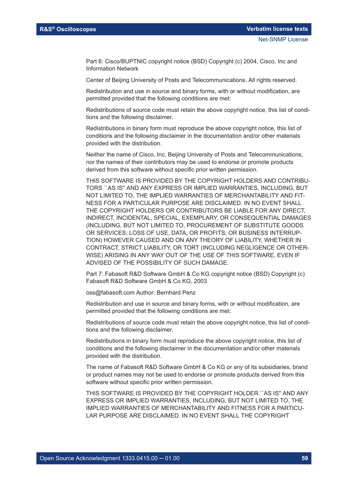Part 6: Cisco/BUPTNIC copyright notice (BSD) Copyright (c) 2004, Cisco, Inc and Information Network

Center of Beijing University of Posts and Telecommunications. All rights reserved.

Redistribution and use in source and binary forms, with or without modification, are permitted provided that the following conditions are met:

Redistributions of source code must retain the above copyright notice, this list of conditions and the following disclaimer.

Redistributions in binary form must reproduce the above copyright notice, this list of conditions and the following disclaimer in the documentation and/or other materials provided with the distribution.

Neither the name of Cisco, Inc, Beijing University of Posts and Telecommunications, nor the names of their contributors may be used to endorse or promote products derived from this software without specific prior written permission.

THIS SOFTWARE IS PROVIDED BY THE COPYRIGHT HOLDERS AND CONTRIBU-TORS ``AS IS'' AND ANY EXPRESS OR IMPLIED WARRANTIES, INCLUDING, BUT NOT LIMITED TO, THE IMPLIED WARRANTIES OF MERCHANTABILITY AND FIT-NESS FOR A PARTICULAR PURPOSE ARE DISCLAIMED. IN NO EVENT SHALL THE COPYRIGHT HOLDERS OR CONTRIBUTORS BE LIABLE FOR ANY DIRECT, INDIRECT, INCIDENTAL, SPECIAL, EXEMPLARY, OR CONSEQUENTIAL DAMAGES (INCLUDING, BUT NOT LIMITED TO, PROCUREMENT OF SUBSTITUTE GOODS OR SERVICES; LOSS OF USE, DATA, OR PROFITS; OR BUSINESS INTERRUP-TION) HOWEVER CAUSED AND ON ANY THEORY OF LIABILITY, WHETHER IN CONTRACT, STRICT LIABILITY, OR TORT (INCLUDING NEGLIGENCE OR OTHER-WISE) ARISING IN ANY WAY OUT OF THE USE OF THIS SOFTWARE, EVEN IF ADVISED OF THE POSSIBILITY OF SUCH DAMAGE.

Part 7: Fabasoft R&D Software GmbH & Co KG copyright notice (BSD) Copyright (c) Fabasoft R&D Software GmbH & Co KG, 2003

oss@fabasoft.com Author: Bernhard Penz

Redistribution and use in source and binary forms, with or without modification, are permitted provided that the following conditions are met:

Redistributions of source code must retain the above copyright notice, this list of conditions and the following disclaimer.

Redistributions in binary form must reproduce the above copyright notice, this list of conditions and the following disclaimer in the documentation and/or other materials provided with the distribution.

The name of Fabasoft R&D Software GmbH & Co KG or any of its subsidiaries, brand or product names may not be used to endorse or promote products derived from this software without specific prior written permission.

THIS SOFTWARE IS PROVIDED BY THE COPYRIGHT HOLDER ``AS IS'' AND ANY EXPRESS OR IMPLIED WARRANTIES, INCLUDING, BUT NOT LIMITED TO, THE IMPLIED WARRANTIES OF MERCHANTABILITY AND FITNESS FOR A PARTICU-LAR PURPOSE ARE DISCLAIMED. IN NO EVENT SHALL THE COPYRIGHT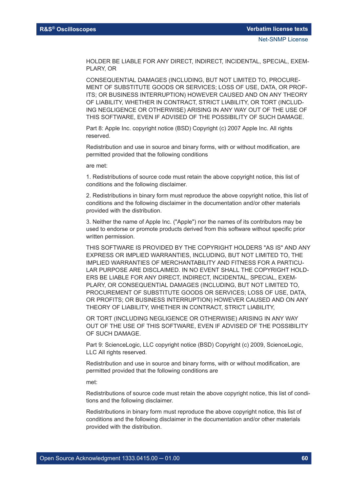HOLDER BE LIABLE FOR ANY DIRECT, INDIRECT, INCIDENTAL, SPECIAL, EXEM-PLARY, OR

CONSEQUENTIAL DAMAGES (INCLUDING, BUT NOT LIMITED TO, PROCURE-MENT OF SUBSTITUTE GOODS OR SERVICES; LOSS OF USE, DATA, OR PROF-ITS; OR BUSINESS INTERRUPTION) HOWEVER CAUSED AND ON ANY THEORY OF LIABILITY, WHETHER IN CONTRACT, STRICT LIABILITY, OR TORT (INCLUD-ING NEGLIGENCE OR OTHERWISE) ARISING IN ANY WAY OUT OF THE USE OF THIS SOFTWARE, EVEN IF ADVISED OF THE POSSIBILITY OF SUCH DAMAGE.

Part 8: Apple Inc. copyright notice (BSD) Copyright (c) 2007 Apple Inc. All rights reserved.

Redistribution and use in source and binary forms, with or without modification, are permitted provided that the following conditions

are met:

1. Redistributions of source code must retain the above copyright notice, this list of conditions and the following disclaimer.

2. Redistributions in binary form must reproduce the above copyright notice, this list of conditions and the following disclaimer in the documentation and/or other materials provided with the distribution.

3. Neither the name of Apple Inc. ("Apple") nor the names of its contributors may be used to endorse or promote products derived from this software without specific prior written permission.

THIS SOFTWARE IS PROVIDED BY THE COPYRIGHT HOLDERS "AS IS" AND ANY EXPRESS OR IMPLIED WARRANTIES, INCLUDING, BUT NOT LIMITED TO, THE IMPLIED WARRANTIES OF MERCHANTABILITY AND FITNESS FOR A PARTICU-LAR PURPOSE ARE DISCLAIMED. IN NO EVENT SHALL THE COPYRIGHT HOLD-ERS BE LIABLE FOR ANY DIRECT, INDIRECT, INCIDENTAL, SPECIAL, EXEM-PLARY, OR CONSEQUENTIAL DAMAGES (INCLUDING, BUT NOT LIMITED TO, PROCUREMENT OF SUBSTITUTE GOODS OR SERVICES; LOSS OF USE, DATA, OR PROFITS; OR BUSINESS INTERRUPTION) HOWEVER CAUSED AND ON ANY THEORY OF LIABILITY, WHETHER IN CONTRACT, STRICT LIABILITY,

OR TORT (INCLUDING NEGLIGENCE OR OTHERWISE) ARISING IN ANY WAY OUT OF THE USE OF THIS SOFTWARE, EVEN IF ADVISED OF THE POSSIBILITY OF SUCH DAMAGE.

Part 9: ScienceLogic, LLC copyright notice (BSD) Copyright (c) 2009, ScienceLogic, LLC All rights reserved.

Redistribution and use in source and binary forms, with or without modification, are permitted provided that the following conditions are

met:

Redistributions of source code must retain the above copyright notice, this list of conditions and the following disclaimer.

Redistributions in binary form must reproduce the above copyright notice, this list of conditions and the following disclaimer in the documentation and/or other materials provided with the distribution.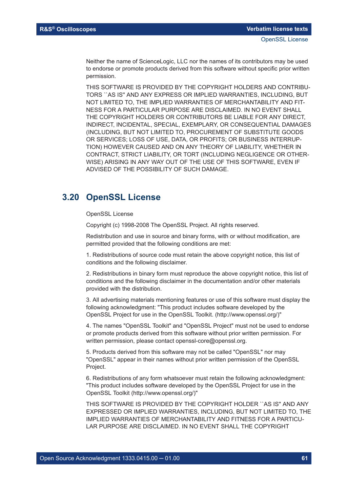<span id="page-60-0"></span>Neither the name of ScienceLogic, LLC nor the names of its contributors may be used to endorse or promote products derived from this software without specific prior written permission.

THIS SOFTWARE IS PROVIDED BY THE COPYRIGHT HOLDERS AND CONTRIBU-TORS ``AS IS'' AND ANY EXPRESS OR IMPLIED WARRANTIES, INCLUDING, BUT NOT LIMITED TO, THE IMPLIED WARRANTIES OF MERCHANTABILITY AND FIT-NESS FOR A PARTICULAR PURPOSE ARE DISCLAIMED. IN NO EVENT SHALL THE COPYRIGHT HOLDERS OR CONTRIBUTORS BE LIABLE FOR ANY DIRECT, INDIRECT, INCIDENTAL, SPECIAL, EXEMPLARY, OR CONSEQUENTIAL DAMAGES (INCLUDING, BUT NOT LIMITED TO, PROCUREMENT OF SUBSTITUTE GOODS OR SERVICES; LOSS OF USE, DATA, OR PROFITS; OR BUSINESS INTERRUP-TION) HOWEVER CAUSED AND ON ANY THEORY OF LIABILITY, WHETHER IN CONTRACT, STRICT LIABILITY, OR TORT (INCLUDING NEGLIGENCE OR OTHER-WISE) ARISING IN ANY WAY OUT OF THE USE OF THIS SOFTWARE, EVEN IF ADVISED OF THE POSSIBILITY OF SUCH DAMAGE.

## **3.20 OpenSSL License**

OpenSSL License

Copyright (c) 1998-2008 The OpenSSL Project. All rights reserved.

Redistribution and use in source and binary forms, with or without modification, are permitted provided that the following conditions are met:

1. Redistributions of source code must retain the above copyright notice, this list of conditions and the following disclaimer.

2. Redistributions in binary form must reproduce the above copyright notice, this list of conditions and the following disclaimer in the documentation and/or other materials provided with the distribution.

3. All advertising materials mentioning features or use of this software must display the following acknowledgment: "This product includes software developed by the OpenSSL Project for use in the OpenSSL Toolkit. (http://www.openssl.org/)"

4. The names "OpenSSL Toolkit" and "OpenSSL Project" must not be used to endorse or promote products derived from this software without prior written permission. For written permission, please contact openssl-core@openssl.org.

5. Products derived from this software may not be called "OpenSSL" nor may "OpenSSL" appear in their names without prior written permission of the OpenSSL Project.

6. Redistributions of any form whatsoever must retain the following acknowledgment: "This product includes software developed by the OpenSSL Project for use in the OpenSSL Toolkit (http://www.openssl.org/)"

THIS SOFTWARE IS PROVIDED BY THE COPYRIGHT HOLDER ``AS IS'' AND ANY EXPRESSED OR IMPLIED WARRANTIES, INCLUDING, BUT NOT LIMITED TO, THE IMPLIED WARRANTIES OF MERCHANTABILITY AND FITNESS FOR A PARTICU-LAR PURPOSE ARE DISCLAIMED. IN NO EVENT SHALL THE COPYRIGHT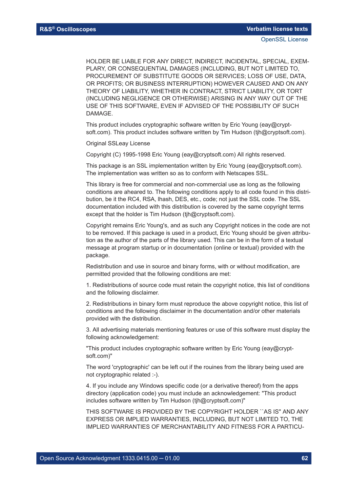HOLDER BE LIABLE FOR ANY DIRECT, INDIRECT, INCIDENTAL, SPECIAL, EXEM-PLARY, OR CONSEQUENTIAL DAMAGES (INCLUDING, BUT NOT LIMITED TO, PROCUREMENT OF SUBSTITUTE GOODS OR SERVICES; LOSS OF USE, DATA, OR PROFITS; OR BUSINESS INTERRUPTION) HOWEVER CAUSED AND ON ANY THEORY OF LIABILITY, WHETHER IN CONTRACT, STRICT LIABILITY, OR TORT (INCLUDING NEGLIGENCE OR OTHERWISE) ARISING IN ANY WAY OUT OF THE USE OF THIS SOFTWARE, EVEN IF ADVISED OF THE POSSIBILITY OF SUCH DAMAGE.

This product includes cryptographic software written by Eric Young (eay@cryptsoft.com). This product includes software written by Tim Hudson (tjh@cryptsoft.com).

Original SSLeay License

Copyright (C) 1995-1998 Eric Young (eay@cryptsoft.com) All rights reserved.

This package is an SSL implementation written by Eric Young (eay@cryptsoft.com). The implementation was written so as to conform with Netscapes SSL.

This library is free for commercial and non-commercial use as long as the following conditions are aheared to. The following conditions apply to all code found in this distribution, be it the RC4, RSA, lhash, DES, etc., code; not just the SSL code. The SSL documentation included with this distribution is covered by the same copyright terms except that the holder is Tim Hudson (tjh@cryptsoft.com).

Copyright remains Eric Young's, and as such any Copyright notices in the code are not to be removed. If this package is used in a product, Eric Young should be given attribution as the author of the parts of the library used. This can be in the form of a textual message at program startup or in documentation (online or textual) provided with the package.

Redistribution and use in source and binary forms, with or without modification, are permitted provided that the following conditions are met:

1. Redistributions of source code must retain the copyright notice, this list of conditions and the following disclaimer.

2. Redistributions in binary form must reproduce the above copyright notice, this list of conditions and the following disclaimer in the documentation and/or other materials provided with the distribution.

3. All advertising materials mentioning features or use of this software must display the following acknowledgement:

"This product includes cryptographic software written by Eric Young (eay@cryptsoft.com)"

The word 'cryptographic' can be left out if the rouines from the library being used are not cryptographic related :-).

4. If you include any Windows specific code (or a derivative thereof) from the apps directory (application code) you must include an acknowledgement: "This product includes software written by Tim Hudson (tjh@cryptsoft.com)"

THIS SOFTWARE IS PROVIDED BY THE COPYRIGHT HOLDER ``AS IS'' AND ANY EXPRESS OR IMPLIED WARRANTIES, INCLUDING, BUT NOT LIMITED TO, THE IMPLIED WARRANTIES OF MERCHANTABILITY AND FITNESS FOR A PARTICU-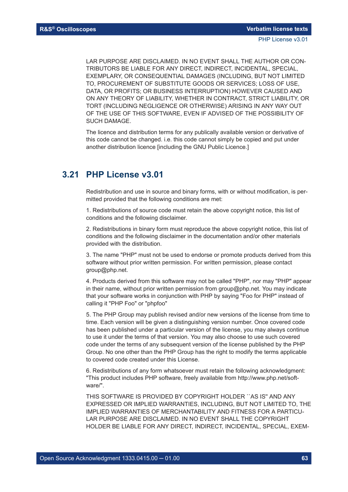<span id="page-62-0"></span>LAR PURPOSE ARE DISCLAIMED. IN NO EVENT SHALL THE AUTHOR OR CON-TRIBUTORS BE LIABLE FOR ANY DIRECT, INDIRECT, INCIDENTAL, SPECIAL, EXEMPLARY, OR CONSEQUENTIAL DAMAGES (INCLUDING, BUT NOT LIMITED TO, PROCUREMENT OF SUBSTITUTE GOODS OR SERVICES; LOSS OF USE, DATA, OR PROFITS; OR BUSINESS INTERRUPTION) HOWEVER CAUSED AND ON ANY THEORY OF LIABILITY, WHETHER IN CONTRACT, STRICT LIABILITY, OR TORT (INCLUDING NEGLIGENCE OR OTHERWISE) ARISING IN ANY WAY OUT OF THE USE OF THIS SOFTWARE, EVEN IF ADVISED OF THE POSSIBILITY OF SUCH DAMAGE.

The licence and distribution terms for any publically available version or derivative of this code cannot be changed. i.e. this code cannot simply be copied and put under another distribution licence [including the GNU Public Licence.]

## **3.21 PHP License v3.01**

Redistribution and use in source and binary forms, with or without modification, is permitted provided that the following conditions are met:

1. Redistributions of source code must retain the above copyright notice, this list of conditions and the following disclaimer.

2. Redistributions in binary form must reproduce the above copyright notice, this list of conditions and the following disclaimer in the documentation and/or other materials provided with the distribution.

3. The name "PHP" must not be used to endorse or promote products derived from this software without prior written permission. For written permission, please contact group@php.net.

4. Products derived from this software may not be called "PHP", nor may "PHP" appear in their name, without prior written permission from group@php.net. You may indicate that your software works in conjunction with PHP by saying "Foo for PHP" instead of calling it "PHP Foo" or "phpfoo"

5. The PHP Group may publish revised and/or new versions of the license from time to time. Each version will be given a distinguishing version number. Once covered code has been published under a particular version of the license, you may always continue to use it under the terms of that version. You may also choose to use such covered code under the terms of any subsequent version of the license published by the PHP Group. No one other than the PHP Group has the right to modify the terms applicable to covered code created under this License.

6. Redistributions of any form whatsoever must retain the following acknowledgment: "This product includes PHP software, freely available from http://www.php.net/software/".

THIS SOFTWARE IS PROVIDED BY COPYRIGHT HOLDER ``AS IS'' AND ANY EXPRESSED OR IMPLIED WARRANTIES, INCLUDING, BUT NOT LIMITED TO, THE IMPLIED WARRANTIES OF MERCHANTABILITY AND FITNESS FOR A PARTICU-LAR PURPOSE ARE DISCLAIMED. IN NO EVENT SHALL THE COPYRIGHT HOLDER BE LIABLE FOR ANY DIRECT, INDIRECT, INCIDENTAL, SPECIAL, EXEM-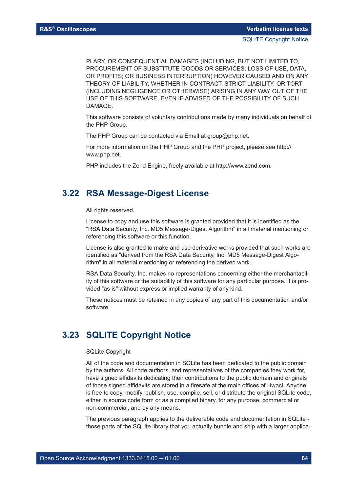<span id="page-63-0"></span>PLARY, OR CONSEQUENTIAL DAMAGES (INCLUDING, BUT NOT LIMITED TO, PROCUREMENT OF SUBSTITUTE GOODS OR SERVICES; LOSS OF USE, DATA, OR PROFITS; OR BUSINESS INTERRUPTION) HOWEVER CAUSED AND ON ANY THEORY OF LIABILITY, WHETHER IN CONTRACT, STRICT LIABILITY, OR TORT (INCLUDING NEGLIGENCE OR OTHERWISE) ARISING IN ANY WAY OUT OF THE USE OF THIS SOFTWARE, EVEN IF ADVISED OF THE POSSIBILITY OF SUCH DAMAGE.

This software consists of voluntary contributions made by many individuals on behalf of the PHP Group.

The PHP Group can be contacted via Email at group@php.net.

For more information on the PHP Group and the PHP project, please see http:// www.php.net.

PHP includes the Zend Engine, freely available at http://www.zend.com.

### **3.22 RSA Message-Digest License**

All rights reserved.

License to copy and use this software is granted provided that it is identified as the "RSA Data Security, Inc. MD5 Message-Digest Algorithm" in all material mentioning or referencing this software or this function.

License is also granted to make and use derivative works provided that such works are identified as "derived from the RSA Data Security, Inc. MD5 Message-Digest Algorithm" in all material mentioning or referencing the derived work.

RSA Data Security, Inc. makes no representations concerning either the merchantability of this software or the suitability of this software for any particular purpose. It is provided "as is" without express or implied warranty of any kind.

These notices must be retained in any copies of any part of this documentation and/or software.

## **3.23 SQLITE Copyright Notice**

#### SQLite Copyright

All of the code and documentation in SQLite has been dedicated to the public domain by the authors. All code authors, and representatives of the companies they work for, have signed affidavits dedicating their contributions to the public domain and originals of those signed affidavits are stored in a firesafe at the main offices of Hwaci. Anyone is free to copy, modify, publish, use, compile, sell, or distribute the original SQLite code, either in source code form or as a compiled binary, for any purpose, commercial or non-commercial, and by any means.

The previous paragraph applies to the deliverable code and documentation in SQLite those parts of the SQLite library that you actually bundle and ship with a larger applica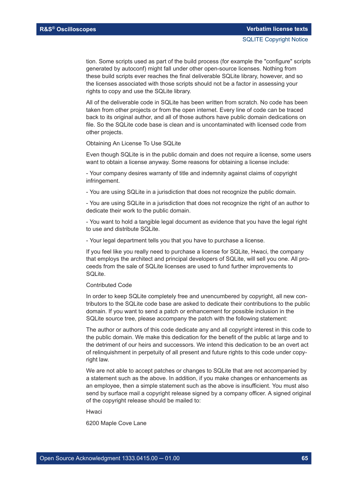tion. Some scripts used as part of the build process (for example the "configure" scripts generated by autoconf) might fall under other open-source licenses. Nothing from these build scripts ever reaches the final deliverable SQLite library, however, and so the licenses associated with those scripts should not be a factor in assessing your rights to copy and use the SQLite library.

All of the deliverable code in SQLite has been written from scratch. No code has been taken from other projects or from the open internet. Every line of code can be traced back to its original author, and all of those authors have public domain dedications on file. So the SQLite code base is clean and is uncontaminated with licensed code from other projects.

Obtaining An License To Use SQLite

Even though SQLite is in the public domain and does not require a license, some users want to obtain a license anyway. Some reasons for obtaining a license include:

- Your company desires warranty of title and indemnity against claims of copyright infringement.

- You are using SQLite in a jurisdiction that does not recognize the public domain.

- You are using SQLite in a jurisdiction that does not recognize the right of an author to dedicate their work to the public domain.

- You want to hold a tangible legal document as evidence that you have the legal right to use and distribute SQLite.

- Your legal department tells you that you have to purchase a license.

If you feel like you really need to purchase a license for SQLite, Hwaci, the company that employs the architect and principal developers of SQLite, will sell you one. All proceeds from the sale of SQLite licenses are used to fund further improvements to SQLite.

#### Contributed Code

In order to keep SQLite completely free and unencumbered by copyright, all new contributors to the SQLite code base are asked to dedicate their contributions to the public domain. If you want to send a patch or enhancement for possible inclusion in the SQLite source tree, please accompany the patch with the following statement:

The author or authors of this code dedicate any and all copyright interest in this code to the public domain. We make this dedication for the benefit of the public at large and to the detriment of our heirs and successors. We intend this dedication to be an overt act of relinquishment in perpetuity of all present and future rights to this code under copyright law.

We are not able to accept patches or changes to SQLite that are not accompanied by a statement such as the above. In addition, if you make changes or enhancements as an employee, then a simple statement such as the above is insufficient. You must also send by surface mail a copyright release signed by a company officer. A signed original of the copyright release should be mailed to:

Hwaci

6200 Maple Cove Lane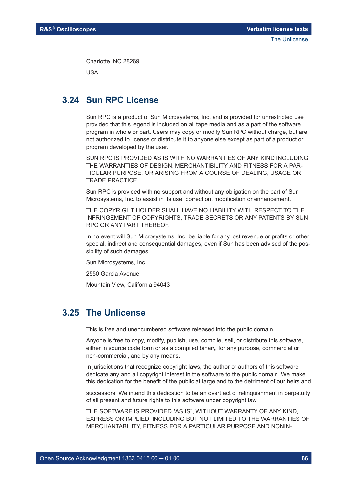<span id="page-65-0"></span>Charlotte, NC 28269

USA

## **3.24 Sun RPC License**

Sun RPC is a product of Sun Microsystems, Inc. and is provided for unrestricted use provided that this legend is included on all tape media and as a part of the software program in whole or part. Users may copy or modify Sun RPC without charge, but are not authorized to license or distribute it to anyone else except as part of a product or program developed by the user.

SUN RPC IS PROVIDED AS IS WITH NO WARRANTIES OF ANY KIND INCLUDING THE WARRANTIES OF DESIGN, MERCHANTIBILITY AND FITNESS FOR A PAR-TICULAR PURPOSE, OR ARISING FROM A COURSE OF DEALING, USAGE OR TRADE PRACTICE.

Sun RPC is provided with no support and without any obligation on the part of Sun Microsystems, Inc. to assist in its use, correction, modification or enhancement.

THE COPYRIGHT HOLDER SHALL HAVE NO LIABILITY WITH RESPECT TO THE INFRINGEMENT OF COPYRIGHTS, TRADE SECRETS OR ANY PATENTS BY SUN RPC OR ANY PART THEREOF.

In no event will Sun Microsystems, Inc. be liable for any lost revenue or profits or other special, indirect and consequential damages, even if Sun has been advised of the possibility of such damages.

Sun Microsystems, Inc.

2550 Garcia Avenue

Mountain View, California 94043

## **3.25 The Unlicense**

This is free and unencumbered software released into the public domain.

Anyone is free to copy, modify, publish, use, compile, sell, or distribute this software, either in source code form or as a compiled binary, for any purpose, commercial or non-commercial, and by any means.

In jurisdictions that recognize copyright laws, the author or authors of this software dedicate any and all copyright interest in the software to the public domain. We make this dedication for the benefit of the public at large and to the detriment of our heirs and

successors. We intend this dedication to be an overt act of relinquishment in perpetuity of all present and future rights to this software under copyright law.

THE SOFTWARE IS PROVIDED "AS IS", WITHOUT WARRANTY OF ANY KIND, EXPRESS OR IMPLIED, INCLUDING BUT NOT LIMITED TO THE WARRANTIES OF MERCHANTABILITY, FITNESS FOR A PARTICULAR PURPOSE AND NONIN-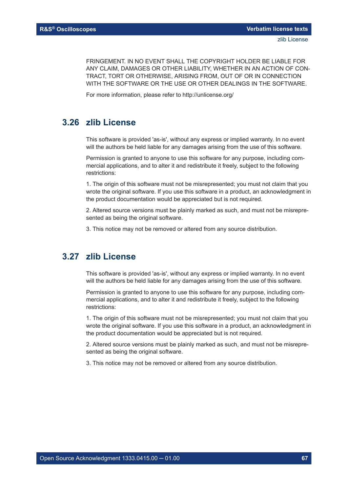<span id="page-66-0"></span>FRINGEMENT. IN NO EVENT SHALL THE COPYRIGHT HOLDER BE LIABLE FOR ANY CLAIM, DAMAGES OR OTHER LIABILITY, WHETHER IN AN ACTION OF CON-TRACT, TORT OR OTHERWISE, ARISING FROM, OUT OF OR IN CONNECTION WITH THE SOFTWARE OR THE USE OR OTHER DEALINGS IN THE SOFTWARE.

For more information, please refer to http://unlicense.org/

## **3.26 zlib License**

This software is provided 'as-is', without any express or implied warranty. In no event will the authors be held liable for any damages arising from the use of this software.

Permission is granted to anyone to use this software for any purpose, including commercial applications, and to alter it and redistribute it freely, subject to the following restrictions:

1. The origin of this software must not be misrepresented; you must not claim that you wrote the original software. If you use this software in a product, an acknowledgment in the product documentation would be appreciated but is not required.

2. Altered source versions must be plainly marked as such, and must not be misrepresented as being the original software.

3. This notice may not be removed or altered from any source distribution.

## **3.27 zlib License**

This software is provided 'as-is', without any express or implied warranty. In no event will the authors be held liable for any damages arising from the use of this software.

Permission is granted to anyone to use this software for any purpose, including commercial applications, and to alter it and redistribute it freely, subject to the following restrictions:

1. The origin of this software must not be misrepresented; you must not claim that you wrote the original software. If you use this software in a product, an acknowledgment in the product documentation would be appreciated but is not required.

2. Altered source versions must be plainly marked as such, and must not be misrepresented as being the original software.

3. This notice may not be removed or altered from any source distribution.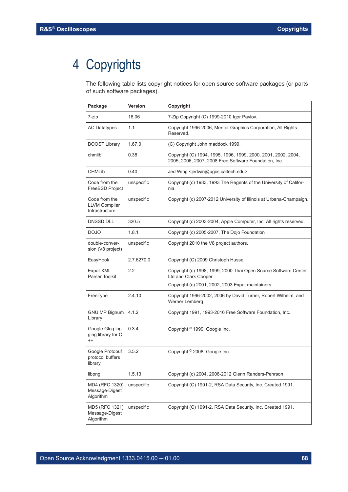## <span id="page-67-0"></span>4 Copyrights

The following table lists copyright notices for open source software packages (or parts of such software packages).

| Package                                                 | <b>Version</b> | Copyright                                                                                                              |
|---------------------------------------------------------|----------------|------------------------------------------------------------------------------------------------------------------------|
| 7-zip                                                   | 18.06          | 7-Zip Copyright (C) 1999-2010 Igor Pavlov.                                                                             |
| <b>AC Datatypes</b>                                     | 1.1            | Copyright 1996-2006, Mentor Graphics Corporation, All Rights<br>Reserved.                                              |
| <b>BOOST Library</b>                                    | 1.67.0         | (C) Copyright John maddock 1999.                                                                                       |
| chmlib                                                  | 0.38           | Copyright (C) 1994, 1995, 1996, 1999, 2000, 2001, 2002, 2004,<br>2005, 2006, 2007, 2008 Free Software Foundation, Inc. |
| CHMLib                                                  | 0.40           | Jed Wing <jedwin@ugcs.caltech.edu></jedwin@ugcs.caltech.edu>                                                           |
| Code from the<br>FreeBSD Project                        | unspecific     | Copyright (c) 1983, 1993 The Regents of the University of Califor-<br>nia.                                             |
| Code from the<br><b>LLVM Compiler</b><br>Infrastructure | unspecific     | Copyright (c) 2007-2012 University of Illinois at Urbana-Champaign.                                                    |
| DNSSD.DLL                                               | 320.5          | Copyright (c) 2003-2004, Apple Computer, Inc. All rights reserved.                                                     |
| <b>DOJO</b>                                             | 1.8.1          | Copyright (c) 2005-2007, The Dojo Foundation                                                                           |
| double-conver-<br>sion (V8 project)                     | unspecific     | Copyright 2010 the V8 project authors.                                                                                 |
| EasyHook                                                | 2.7.6270.0     | Copyright (C) 2009 Christoph Husse                                                                                     |
| Expat XML<br><b>Parser Toolkit</b>                      | 2.2            | Copyright (c) 1998, 1999, 2000 Thai Open Source Software Center<br>Ltd and Clark Cooper                                |
|                                                         |                | Copyright (c) 2001, 2002, 2003 Expat maintainers.                                                                      |
| FreeType                                                | 2.4.10         | Copyright 1996-2002, 2006 by David Turner, Robert Wilhelm, and<br>Werner Lemberg                                       |
| <b>GNU MP Bignum</b><br>Library                         | 4.1.2          | Copyright 1991, 1993-2016 Free Software Foundation, Inc.                                                               |
| Google Glog log-<br>ging library for C<br>$^{++}$       | 0.3.4          | Copyright <sup>©</sup> 1999, Google Inc.                                                                               |
| Google Protobuf<br>protocol buffers<br>library          | 3.5.2          | Copyright <sup>©</sup> 2008, Google Inc.                                                                               |
| libpng                                                  | 1.5.13         | Copyright (c) 2004, 2006-2012 Glenn Randers-Pehrson                                                                    |
| MD4 (RFC 1320)<br>Message-Digest<br>Algorithm           | unspecific     | Copyright (C) 1991-2, RSA Data Security, Inc. Created 1991.                                                            |
| MD5 (RFC 1321)<br>Message-Digest<br>Algorithm           | unspecific     | Copyright (C) 1991-2, RSA Data Security, Inc. Created 1991.                                                            |